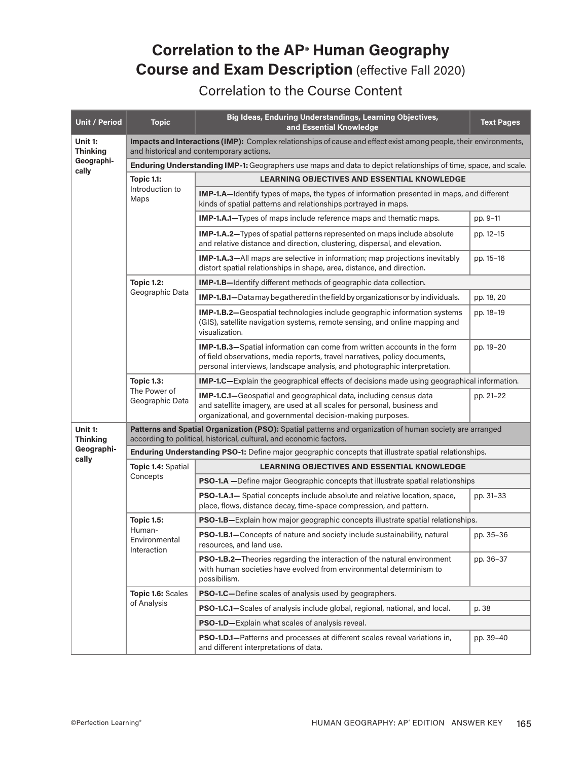## **Correlation to the AP**® **Human Geography Course and Exam Description** (effective Fall 2020)

## Correlation to the Course Content

| <b>Unit / Period</b>       | <b>Topic</b>                                                                                                                                                                    | Big Ideas, Enduring Understandings, Learning Objectives,<br>and Essential Knowledge                                                                                                                                                 | <b>Text Pages</b>                                                                                                    |           |  |
|----------------------------|---------------------------------------------------------------------------------------------------------------------------------------------------------------------------------|-------------------------------------------------------------------------------------------------------------------------------------------------------------------------------------------------------------------------------------|----------------------------------------------------------------------------------------------------------------------|-----------|--|
| Unit 1:<br><b>Thinking</b> | Impacts and Interactions (IMP): Complex relationships of cause and effect exist among people, their environments,<br>and historical and contemporary actions.                   |                                                                                                                                                                                                                                     |                                                                                                                      |           |  |
| Geographi-<br>cally        | Enduring Understanding IMP-1: Geographers use maps and data to depict relationships of time, space, and scale.                                                                  |                                                                                                                                                                                                                                     |                                                                                                                      |           |  |
|                            | <b>Topic 1.1:</b>                                                                                                                                                               | <b>LEARNING OBJECTIVES AND ESSENTIAL KNOWLEDGE</b>                                                                                                                                                                                  |                                                                                                                      |           |  |
|                            | Introduction to<br>Maps                                                                                                                                                         | <b>IMP-1.A</b> —Identify types of maps, the types of information presented in maps, and different<br>kinds of spatial patterns and relationships portrayed in maps.                                                                 |                                                                                                                      |           |  |
|                            |                                                                                                                                                                                 | <b>IMP-1.A.1—Types of maps include reference maps and thematic maps.</b>                                                                                                                                                            | pp. 9-11                                                                                                             |           |  |
|                            |                                                                                                                                                                                 | <b>IMP-1.A.2-Types of spatial patterns represented on maps include absolute</b><br>and relative distance and direction, clustering, dispersal, and elevation.                                                                       | pp. 12-15                                                                                                            |           |  |
|                            |                                                                                                                                                                                 | <b>IMP-1.A.3-All maps are selective in information; map projections inevitably</b><br>distort spatial relationships in shape, area, distance, and direction.                                                                        | pp. 15-16                                                                                                            |           |  |
|                            | <b>Topic 1.2:</b>                                                                                                                                                               | <b>IMP-1.B-Identify different methods of geographic data collection.</b>                                                                                                                                                            |                                                                                                                      |           |  |
|                            | Geographic Data                                                                                                                                                                 | IMP-1.B.1-Data may be gathered in the field by organizations or by individuals.                                                                                                                                                     | pp. 18, 20                                                                                                           |           |  |
|                            |                                                                                                                                                                                 | IMP-1.B.2-Geospatial technologies include geographic information systems<br>(GIS), satellite navigation systems, remote sensing, and online mapping and<br>visualization.                                                           | pp. 18-19                                                                                                            |           |  |
|                            |                                                                                                                                                                                 | IMP-1.B.3-Spatial information can come from written accounts in the form<br>of field observations, media reports, travel narratives, policy documents,<br>personal interviews, landscape analysis, and photographic interpretation. | pp. 19-20                                                                                                            |           |  |
|                            | <b>Topic 1.3:</b><br>The Power of<br>Geographic Data                                                                                                                            | <b>IMP-1.C</b> —Explain the geographical effects of decisions made using geographical information.                                                                                                                                  |                                                                                                                      |           |  |
|                            |                                                                                                                                                                                 | IMP-1.C.1-Geospatial and geographical data, including census data<br>and satellite imagery, are used at all scales for personal, business and<br>organizational, and governmental decision-making purposes.                         | pp. 21-22                                                                                                            |           |  |
| Unit 1:<br><b>Thinking</b> | Patterns and Spatial Organization (PSO): Spatial patterns and organization of human society are arranged<br>according to political, historical, cultural, and economic factors. |                                                                                                                                                                                                                                     |                                                                                                                      |           |  |
| Geographi-<br>cally        | Enduring Understanding PSO-1: Define major geographic concepts that illustrate spatial relationships.                                                                           |                                                                                                                                                                                                                                     |                                                                                                                      |           |  |
|                            | Topic 1.4: Spatial                                                                                                                                                              | <b>LEARNING OBJECTIVES AND ESSENTIAL KNOWLEDGE</b>                                                                                                                                                                                  |                                                                                                                      |           |  |
|                            | Concepts                                                                                                                                                                        | PSO-1.A -Define major Geographic concepts that illustrate spatial relationships                                                                                                                                                     |                                                                                                                      |           |  |
|                            |                                                                                                                                                                                 | <b>PSO-1.A.1—</b> Spatial concepts include absolute and relative location, space,<br>place, flows, distance decay, time-space compression, and pattern.                                                                             | pp. 31-33                                                                                                            |           |  |
|                            | <b>Topic 1.5:</b>                                                                                                                                                               | PSO-1.B-Explain how major geographic concepts illustrate spatial relationships.                                                                                                                                                     |                                                                                                                      |           |  |
|                            | Human-<br>Environmental<br>Interaction                                                                                                                                          | PSO-1.B.1-Concepts of nature and society include sustainability, natural<br>resources, and land use.                                                                                                                                | pp. 35-36                                                                                                            |           |  |
|                            |                                                                                                                                                                                 | PSO-1.B.2-Theories regarding the interaction of the natural environment<br>with human societies have evolved from environmental determinism to<br>possibilism.                                                                      | pp. 36-37                                                                                                            |           |  |
|                            | Topic 1.6: Scales                                                                                                                                                               | PSO-1.C-Define scales of analysis used by geographers.                                                                                                                                                                              |                                                                                                                      |           |  |
|                            | of Analysis                                                                                                                                                                     | PSO-1.C.1-Scales of analysis include global, regional, national, and local.                                                                                                                                                         | p. 38                                                                                                                |           |  |
|                            |                                                                                                                                                                                 | PSO-1.D-Explain what scales of analysis reveal.                                                                                                                                                                                     |                                                                                                                      |           |  |
|                            |                                                                                                                                                                                 |                                                                                                                                                                                                                                     | PSO-1.D.1-Patterns and processes at different scales reveal variations in,<br>and different interpretations of data. | pp. 39-40 |  |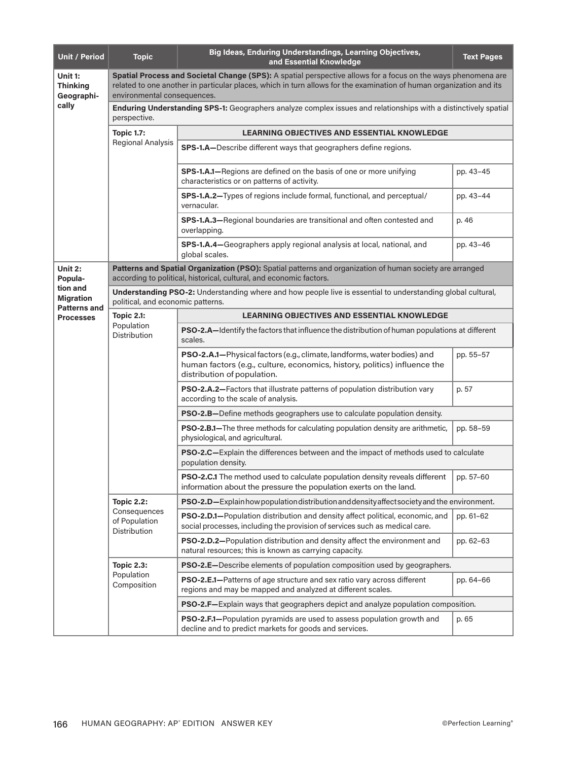| <b>Unit / Period</b>                                | <b>Topic</b>                                                                                                                                                                                                                                                        | Big Ideas, Enduring Understandings, Learning Objectives,<br>and Essential Knowledge                                                                                                 | <b>Text Pages</b> |  |  |
|-----------------------------------------------------|---------------------------------------------------------------------------------------------------------------------------------------------------------------------------------------------------------------------------------------------------------------------|-------------------------------------------------------------------------------------------------------------------------------------------------------------------------------------|-------------------|--|--|
| Unit 1:<br><b>Thinking</b><br>Geographi-            | Spatial Process and Societal Change (SPS): A spatial perspective allows for a focus on the ways phenomena are<br>related to one another in particular places, which in turn allows for the examination of human organization and its<br>environmental consequences. |                                                                                                                                                                                     |                   |  |  |
| cally                                               | Enduring Understanding SPS-1: Geographers analyze complex issues and relationships with a distinctively spatial<br>perspective.                                                                                                                                     |                                                                                                                                                                                     |                   |  |  |
|                                                     | <b>Topic 1.7:</b>                                                                                                                                                                                                                                                   | <b>LEARNING OBJECTIVES AND ESSENTIAL KNOWLEDGE</b>                                                                                                                                  |                   |  |  |
|                                                     | <b>Regional Analysis</b>                                                                                                                                                                                                                                            | SPS-1.A-Describe different ways that geographers define regions.                                                                                                                    |                   |  |  |
|                                                     |                                                                                                                                                                                                                                                                     | SPS-1.A.1-Regions are defined on the basis of one or more unifying<br>characteristics or on patterns of activity.                                                                   | pp. 43-45         |  |  |
|                                                     |                                                                                                                                                                                                                                                                     | SPS-1.A.2-Types of regions include formal, functional, and perceptual/<br>vernacular.                                                                                               | pp. 43-44         |  |  |
|                                                     |                                                                                                                                                                                                                                                                     | SPS-1.A.3-Regional boundaries are transitional and often contested and<br>overlapping.                                                                                              | p. 46             |  |  |
|                                                     |                                                                                                                                                                                                                                                                     | SPS-1.A.4-Geographers apply regional analysis at local, national, and<br>global scales.                                                                                             | pp. 43-46         |  |  |
| Unit 2:<br>Popula-                                  |                                                                                                                                                                                                                                                                     | Patterns and Spatial Organization (PSO): Spatial patterns and organization of human society are arranged<br>according to political, historical, cultural, and economic factors.     |                   |  |  |
| tion and<br><b>Migration</b><br><b>Patterns and</b> | political, and economic patterns.                                                                                                                                                                                                                                   | Understanding PSO-2: Understanding where and how people live is essential to understanding global cultural,                                                                         |                   |  |  |
| <b>Processes</b>                                    | <b>Topic 2.1:</b>                                                                                                                                                                                                                                                   | <b>LEARNING OBJECTIVES AND ESSENTIAL KNOWLEDGE</b>                                                                                                                                  |                   |  |  |
|                                                     | Population<br><b>Distribution</b>                                                                                                                                                                                                                                   | <b>PSO-2.A—Identify the factors that influence the distribution of human populations at different</b><br>scales.                                                                    |                   |  |  |
|                                                     |                                                                                                                                                                                                                                                                     | PSO-2.A.1-Physical factors (e.g., climate, landforms, water bodies) and<br>human factors (e.g., culture, economics, history, politics) influence the<br>distribution of population. | pp. 55-57         |  |  |
|                                                     |                                                                                                                                                                                                                                                                     | PSO-2.A.2-Factors that illustrate patterns of population distribution vary<br>according to the scale of analysis.                                                                   | p. 57             |  |  |
|                                                     |                                                                                                                                                                                                                                                                     | <b>PSO-2.B-Define methods geographers use to calculate population density.</b>                                                                                                      |                   |  |  |
|                                                     |                                                                                                                                                                                                                                                                     | PSO-2.B.1-The three methods for calculating population density are arithmetic,<br>physiological, and agricultural.                                                                  | pp. 58-59         |  |  |
|                                                     |                                                                                                                                                                                                                                                                     | PSO-2.C-Explain the differences between and the impact of methods used to calculate<br>population density.                                                                          |                   |  |  |
|                                                     |                                                                                                                                                                                                                                                                     | <b>PSO-2.C.1</b> The method used to calculate population density reveals different<br>information about the pressure the population exerts on the land.                             | pp. 57-60         |  |  |
|                                                     | <b>Topic 2.2:</b>                                                                                                                                                                                                                                                   | <b>PSO-2.D</b> —Explain how population distribution and density affect society and the environment.                                                                                 |                   |  |  |
|                                                     | Consequences<br>of Population<br>Distribution                                                                                                                                                                                                                       | PSO-2.D.1-Population distribution and density affect political, economic, and<br>social processes, including the provision of services such as medical care.                        | pp. 61-62         |  |  |
|                                                     |                                                                                                                                                                                                                                                                     | PSO-2.D.2-Population distribution and density affect the environment and<br>natural resources; this is known as carrying capacity.                                                  | pp. 62-63         |  |  |
|                                                     | <b>Topic 2.3:</b>                                                                                                                                                                                                                                                   | PSO-2.E-Describe elements of population composition used by geographers.                                                                                                            |                   |  |  |
|                                                     | Population<br>Composition                                                                                                                                                                                                                                           | PSO-2.E.1-Patterns of age structure and sex ratio vary across different<br>regions and may be mapped and analyzed at different scales.                                              | pp. 64-66         |  |  |
|                                                     |                                                                                                                                                                                                                                                                     | PSO-2.F-Explain ways that geographers depict and analyze population composition.                                                                                                    |                   |  |  |
|                                                     |                                                                                                                                                                                                                                                                     | PSO-2.F.1-Population pyramids are used to assess population growth and<br>decline and to predict markets for goods and services.                                                    | p. 65             |  |  |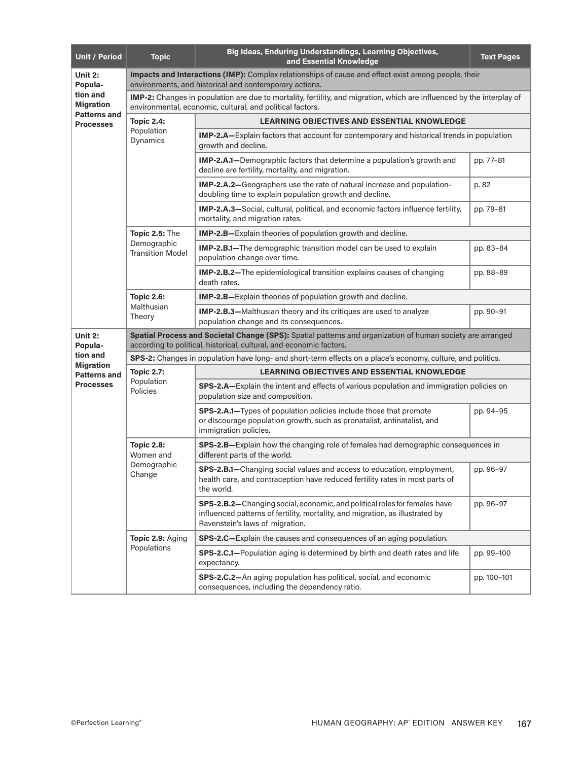| <b>Unit / Period</b>                                | <b>Topic</b>                                                                                                                                                                      | Big Ideas, Enduring Understandings, Learning Objectives,<br>and Essential Knowledge                                                                                                           | <b>Text Pages</b> |  |  |
|-----------------------------------------------------|-----------------------------------------------------------------------------------------------------------------------------------------------------------------------------------|-----------------------------------------------------------------------------------------------------------------------------------------------------------------------------------------------|-------------------|--|--|
| Unit 2:<br>Popula-                                  | Impacts and Interactions (IMP): Complex relationships of cause and effect exist among people, their<br>environments, and historical and contemporary actions.                     |                                                                                                                                                                                               |                   |  |  |
| tion and<br><b>Migration</b><br><b>Patterns and</b> |                                                                                                                                                                                   | IMP-2: Changes in population are due to mortality, fertility, and migration, which are influenced by the interplay of<br>environmental, economic, cultural, and political factors.            |                   |  |  |
| <b>Processes</b>                                    | <b>Topic 2.4:</b>                                                                                                                                                                 | <b>LEARNING OBJECTIVES AND ESSENTIAL KNOWLEDGE</b>                                                                                                                                            |                   |  |  |
|                                                     | Population<br>Dynamics                                                                                                                                                            | IMP-2.A-Explain factors that account for contemporary and historical trends in population<br>growth and decline.                                                                              |                   |  |  |
|                                                     |                                                                                                                                                                                   | IMP-2.A.1-Demographic factors that determine a population's growth and<br>decline are fertility, mortality, and migration.                                                                    | pp. 77-81         |  |  |
|                                                     |                                                                                                                                                                                   | IMP-2.A.2-Geographers use the rate of natural increase and population-<br>doubling time to explain population growth and decline.                                                             | p. 82             |  |  |
|                                                     |                                                                                                                                                                                   | IMP-2.A.3-Social, cultural, political, and economic factors influence fertility,<br>mortality, and migration rates.                                                                           | pp. 79-81         |  |  |
|                                                     | Topic 2.5: The                                                                                                                                                                    | IMP-2.B-Explain theories of population growth and decline.                                                                                                                                    |                   |  |  |
|                                                     | Demographic<br><b>Transition Model</b>                                                                                                                                            | IMP-2.B.1-The demographic transition model can be used to explain<br>population change over time.                                                                                             | pp. 83-84         |  |  |
|                                                     |                                                                                                                                                                                   | <b>IMP-2.B.2-</b> The epidemiological transition explains causes of changing<br>death rates.                                                                                                  | pp. 88-89         |  |  |
|                                                     | <b>Topic 2.6:</b>                                                                                                                                                                 | IMP-2.B-Explain theories of population growth and decline.                                                                                                                                    |                   |  |  |
|                                                     | Malthusian<br>Theory                                                                                                                                                              | IMP-2.B.3-Malthusian theory and its critiques are used to analyze<br>population change and its consequences.                                                                                  | pp. 90-91         |  |  |
| Unit 2:<br>Popula-                                  | Spatial Process and Societal Change (SPS): Spatial patterns and organization of human society are arranged<br>according to political, historical, cultural, and economic factors. |                                                                                                                                                                                               |                   |  |  |
| tion and<br><b>Migration</b>                        | SPS-2: Changes in population have long- and short-term effects on a place's economy, culture, and politics.                                                                       |                                                                                                                                                                                               |                   |  |  |
| <b>Patterns and</b>                                 | <b>Topic 2.7:</b><br>Population<br>Policies                                                                                                                                       | <b>LEARNING OBJECTIVES AND ESSENTIAL KNOWLEDGE</b>                                                                                                                                            |                   |  |  |
| <b>Processes</b>                                    |                                                                                                                                                                                   | SPS-2.A-Explain the intent and effects of various population and immigration policies on<br>population size and composition.                                                                  |                   |  |  |
|                                                     |                                                                                                                                                                                   | SPS-2.A.1-Types of population policies include those that promote<br>or discourage population growth, such as pronatalist, antinatalist, and<br>immigration policies.                         | pp. 94-95         |  |  |
|                                                     | <b>Topic 2.8:</b><br>Women and                                                                                                                                                    | SPS-2.B-Explain how the changing role of females had demographic consequences in<br>different parts of the world.                                                                             |                   |  |  |
|                                                     | Demographic<br>Change                                                                                                                                                             | SPS-2.B.1-Changing social values and access to education, employment,<br>health care, and contraception have reduced fertility rates in most parts of<br>the world.                           | pp. 96-97         |  |  |
|                                                     |                                                                                                                                                                                   | SPS-2.B.2-Changing social, economic, and political roles for females have<br>influenced patterns of fertility, mortality, and migration, as illustrated by<br>Ravenstein's laws of migration. | pp. 96-97         |  |  |
|                                                     | Topic 2.9: Aging                                                                                                                                                                  | SPS-2.C-Explain the causes and consequences of an aging population.                                                                                                                           |                   |  |  |
|                                                     | Populations                                                                                                                                                                       | SPS-2.C.1-Population aging is determined by birth and death rates and life<br>expectancy.                                                                                                     | pp. 99-100        |  |  |
|                                                     |                                                                                                                                                                                   | SPS-2.C.2-An aging population has political, social, and economic<br>consequences, including the dependency ratio.                                                                            | pp. 100-101       |  |  |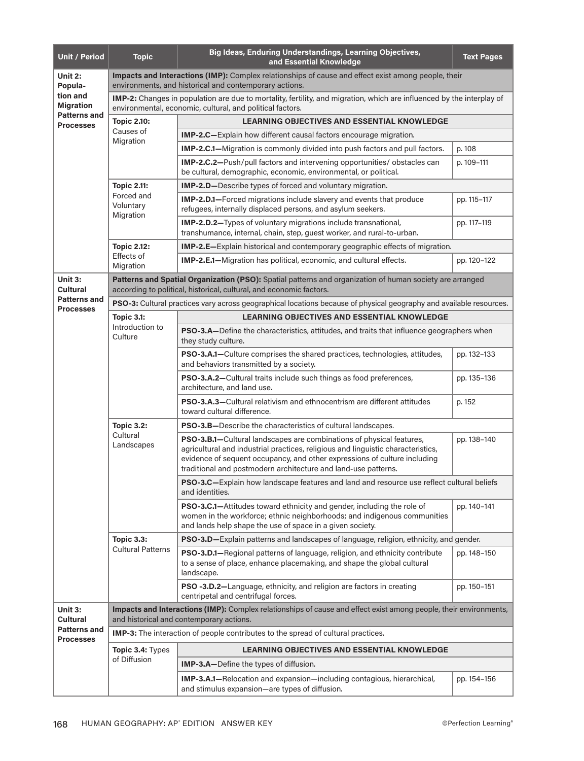| <b>Unit / Period</b>                                                  | <b>Topic</b>                                                                                                                                                                       | Big Ideas, Enduring Understandings, Learning Objectives,<br>and Essential Knowledge                                                                                                                                                                                                                            | <b>Text Pages</b> |  |  |
|-----------------------------------------------------------------------|------------------------------------------------------------------------------------------------------------------------------------------------------------------------------------|----------------------------------------------------------------------------------------------------------------------------------------------------------------------------------------------------------------------------------------------------------------------------------------------------------------|-------------------|--|--|
| Unit $2:$<br>Popula-                                                  | Impacts and Interactions (IMP): Complex relationships of cause and effect exist among people, their<br>environments, and historical and contemporary actions.                      |                                                                                                                                                                                                                                                                                                                |                   |  |  |
| tion and<br><b>Migration</b>                                          | IMP-2: Changes in population are due to mortality, fertility, and migration, which are influenced by the interplay of<br>environmental, economic, cultural, and political factors. |                                                                                                                                                                                                                                                                                                                |                   |  |  |
| <b>Patterns and</b><br><b>Processes</b>                               | <b>Topic 2.10:</b><br><b>LEARNING OBJECTIVES AND ESSENTIAL KNOWLEDGE</b>                                                                                                           |                                                                                                                                                                                                                                                                                                                |                   |  |  |
|                                                                       | Causes of                                                                                                                                                                          | <b>IMP-2.C</b> —Explain how different causal factors encourage migration.                                                                                                                                                                                                                                      |                   |  |  |
|                                                                       | Migration                                                                                                                                                                          | IMP-2.C.1-Migration is commonly divided into push factors and pull factors.                                                                                                                                                                                                                                    | p. 108            |  |  |
|                                                                       |                                                                                                                                                                                    | IMP-2.C.2-Push/pull factors and intervening opportunities/obstacles can<br>be cultural, demographic, economic, environmental, or political.                                                                                                                                                                    | p. 109-111        |  |  |
|                                                                       | <b>Topic 2.11:</b>                                                                                                                                                                 | IMP-2.D-Describe types of forced and voluntary migration.                                                                                                                                                                                                                                                      |                   |  |  |
|                                                                       | Forced and<br>Voluntary                                                                                                                                                            | IMP-2.D.1-Forced migrations include slavery and events that produce<br>refugees, internally displaced persons, and asylum seekers.                                                                                                                                                                             | pp. 115-117       |  |  |
|                                                                       | Migration                                                                                                                                                                          | IMP-2.D.2-Types of voluntary migrations include transnational,<br>transhumance, internal, chain, step, guest worker, and rural-to-urban.                                                                                                                                                                       | pp. 117-119       |  |  |
|                                                                       | <b>Topic 2.12:</b>                                                                                                                                                                 | <b>IMP-2.E</b> —Explain historical and contemporary geographic effects of migration.                                                                                                                                                                                                                           |                   |  |  |
|                                                                       | Effects of<br>Migration                                                                                                                                                            | <b>IMP-2.E.1-Migration has political, economic, and cultural effects.</b>                                                                                                                                                                                                                                      | pp. 120-122       |  |  |
| Unit 3:<br><b>Cultural</b>                                            |                                                                                                                                                                                    | Patterns and Spatial Organization (PSO): Spatial patterns and organization of human society are arranged<br>according to political, historical, cultural, and economic factors.                                                                                                                                |                   |  |  |
| <b>Patterns and</b><br><b>Processes</b>                               |                                                                                                                                                                                    | <b>PSO-3:</b> Cultural practices vary across geographical locations because of physical geography and available resources.                                                                                                                                                                                     |                   |  |  |
|                                                                       | <b>Topic 3.1:</b>                                                                                                                                                                  | <b>LEARNING OBJECTIVES AND ESSENTIAL KNOWLEDGE</b>                                                                                                                                                                                                                                                             |                   |  |  |
|                                                                       | Introduction to<br>Culture                                                                                                                                                         | PSO-3.A-Define the characteristics, attitudes, and traits that influence geographers when<br>they study culture.                                                                                                                                                                                               |                   |  |  |
|                                                                       |                                                                                                                                                                                    | PSO-3.A.1-Culture comprises the shared practices, technologies, attitudes,<br>and behaviors transmitted by a society.                                                                                                                                                                                          | pp. 132-133       |  |  |
|                                                                       |                                                                                                                                                                                    | PSO-3.A.2-Cultural traits include such things as food preferences,<br>architecture, and land use.                                                                                                                                                                                                              | pp. 135-136       |  |  |
|                                                                       |                                                                                                                                                                                    | PSO-3.A.3-Cultural relativism and ethnocentrism are different attitudes<br>toward cultural difference.                                                                                                                                                                                                         | p. 152            |  |  |
|                                                                       | <b>Topic 3.2:</b><br>Cultural<br>Landscapes                                                                                                                                        | PSO-3.B-Describe the characteristics of cultural landscapes.                                                                                                                                                                                                                                                   |                   |  |  |
|                                                                       |                                                                                                                                                                                    | <b>PSO-3.B.1-Cultural landscapes are combinations of physical features,</b><br>agricultural and industrial practices, religious and linguistic characteristics,<br>evidence of sequent occupancy, and other expressions of culture including<br>traditional and postmodern architecture and land-use patterns. | pp. 138-140       |  |  |
|                                                                       |                                                                                                                                                                                    | PSO-3.C-Explain how landscape features and land and resource use reflect cultural beliefs<br>and identities.                                                                                                                                                                                                   |                   |  |  |
|                                                                       |                                                                                                                                                                                    | PSO-3.C.1-Attitudes toward ethnicity and gender, including the role of<br>women in the workforce; ethnic neighborhoods; and indigenous communities<br>and lands help shape the use of space in a given society.                                                                                                | pp. 140-141       |  |  |
|                                                                       | <b>Topic 3.3:</b>                                                                                                                                                                  | PSO-3.D-Explain patterns and landscapes of language, religion, ethnicity, and gender.                                                                                                                                                                                                                          |                   |  |  |
|                                                                       | <b>Cultural Patterns</b>                                                                                                                                                           | PSO-3.D.1-Regional patterns of language, religion, and ethnicity contribute<br>to a sense of place, enhance placemaking, and shape the global cultural<br>landscape.                                                                                                                                           | pp. 148-150       |  |  |
|                                                                       |                                                                                                                                                                                    | PSO -3.D.2-Language, ethnicity, and religion are factors in creating<br>centripetal and centrifugal forces.                                                                                                                                                                                                    | pp. 150-151       |  |  |
| Unit 3:<br><b>Cultural</b><br><b>Patterns and</b><br><b>Processes</b> |                                                                                                                                                                                    | Impacts and Interactions (IMP): Complex relationships of cause and effect exist among people, their environments,<br>and historical and contemporary actions.                                                                                                                                                  |                   |  |  |
|                                                                       |                                                                                                                                                                                    | <b>IMP-3:</b> The interaction of people contributes to the spread of cultural practices.                                                                                                                                                                                                                       |                   |  |  |
|                                                                       | Topic 3.4: Types                                                                                                                                                                   | <b>LEARNING OBJECTIVES AND ESSENTIAL KNOWLEDGE</b>                                                                                                                                                                                                                                                             |                   |  |  |
|                                                                       | of Diffusion                                                                                                                                                                       | <b>IMP-3.A-Define the types of diffusion.</b>                                                                                                                                                                                                                                                                  |                   |  |  |
|                                                                       |                                                                                                                                                                                    | IMP-3.A.1-Relocation and expansion-including contagious, hierarchical,<br>and stimulus expansion-are types of diffusion.                                                                                                                                                                                       | pp. 154-156       |  |  |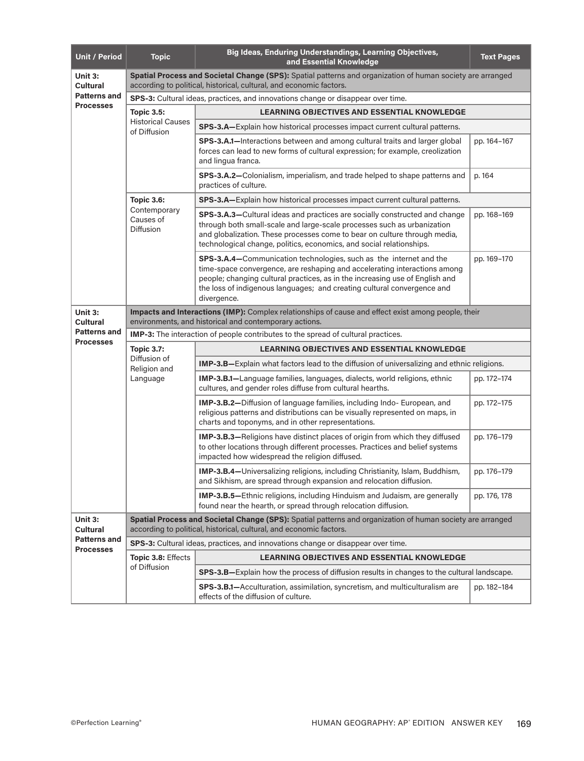| <b>Unit / Period</b>                                           | <b>Topic</b>                                                                                                                                                                      | Big Ideas, Enduring Understandings, Learning Objectives,<br>and Essential Knowledge                                                                                                                                                                                                                                       | <b>Text Pages</b> |  |  |
|----------------------------------------------------------------|-----------------------------------------------------------------------------------------------------------------------------------------------------------------------------------|---------------------------------------------------------------------------------------------------------------------------------------------------------------------------------------------------------------------------------------------------------------------------------------------------------------------------|-------------------|--|--|
| Unit 3:<br>Cultural                                            | Spatial Process and Societal Change (SPS): Spatial patterns and organization of human society are arranged<br>according to political, historical, cultural, and economic factors. |                                                                                                                                                                                                                                                                                                                           |                   |  |  |
| <b>Patterns and</b>                                            | SPS-3: Cultural ideas, practices, and innovations change or disappear over time.                                                                                                  |                                                                                                                                                                                                                                                                                                                           |                   |  |  |
| <b>Processes</b>                                               | <b>Topic 3.5:</b>                                                                                                                                                                 | <b>LEARNING OBJECTIVES AND ESSENTIAL KNOWLEDGE</b>                                                                                                                                                                                                                                                                        |                   |  |  |
|                                                                | <b>Historical Causes</b><br>of Diffusion                                                                                                                                          | SPS-3.A-Explain how historical processes impact current cultural patterns.                                                                                                                                                                                                                                                |                   |  |  |
|                                                                |                                                                                                                                                                                   | SPS-3.A.1-Interactions between and among cultural traits and larger global<br>forces can lead to new forms of cultural expression; for example, creolization<br>and lingua franca.                                                                                                                                        | pp. 164-167       |  |  |
|                                                                |                                                                                                                                                                                   | SPS-3.A.2-Colonialism, imperialism, and trade helped to shape patterns and<br>practices of culture.                                                                                                                                                                                                                       | p. 164            |  |  |
|                                                                | <b>Topic 3.6:</b>                                                                                                                                                                 | SPS-3.A-Explain how historical processes impact current cultural patterns.                                                                                                                                                                                                                                                |                   |  |  |
|                                                                | Contemporary<br>Causes of<br><b>Diffusion</b>                                                                                                                                     | <b>SPS-3.A.3–Cultural ideas and practices are socially constructed and change</b><br>through both small-scale and large-scale processes such as urbanization<br>and globalization. These processes come to bear on culture through media,<br>technological change, politics, economics, and social relationships.         | pp. 168-169       |  |  |
|                                                                |                                                                                                                                                                                   | SPS-3.A.4-Communication technologies, such as the internet and the<br>time-space convergence, are reshaping and accelerating interactions among<br>people; changing cultural practices, as in the increasing use of English and<br>the loss of indigenous languages; and creating cultural convergence and<br>divergence. | pp. 169-170       |  |  |
| Unit 3:<br>Cultural                                            | Impacts and Interactions (IMP): Complex relationships of cause and effect exist among people, their<br>environments, and historical and contemporary actions.                     |                                                                                                                                                                                                                                                                                                                           |                   |  |  |
| <b>Patterns and</b><br><b>Processes</b>                        | <b>IMP-3:</b> The interaction of people contributes to the spread of cultural practices.                                                                                          |                                                                                                                                                                                                                                                                                                                           |                   |  |  |
|                                                                | <b>Topic 3.7:</b>                                                                                                                                                                 | <b>LEARNING OBJECTIVES AND ESSENTIAL KNOWLEDGE</b>                                                                                                                                                                                                                                                                        |                   |  |  |
|                                                                | Diffusion of<br>Religion and                                                                                                                                                      | IMP-3.B-Explain what factors lead to the diffusion of universalizing and ethnic religions.                                                                                                                                                                                                                                |                   |  |  |
|                                                                | Language                                                                                                                                                                          | IMP-3.B.1-Language families, languages, dialects, world religions, ethnic<br>cultures, and gender roles diffuse from cultural hearths.                                                                                                                                                                                    | pp. 172-174       |  |  |
|                                                                |                                                                                                                                                                                   | <b>IMP-3.B.2-Diffusion of language families, including Indo-European, and</b><br>religious patterns and distributions can be visually represented on maps, in<br>charts and toponyms, and in other representations.                                                                                                       | pp. 172-175       |  |  |
|                                                                |                                                                                                                                                                                   | <b>IMP-3.B.3-Religions have distinct places of origin from which they diffused</b><br>to other locations through different processes. Practices and belief systems<br>impacted how widespread the religion diffused.                                                                                                      | pp. 176-179       |  |  |
|                                                                |                                                                                                                                                                                   | IMP-3.B.4-Universalizing religions, including Christianity, Islam, Buddhism,<br>and Sikhism, are spread through expansion and relocation diffusion.                                                                                                                                                                       | pp. 176-179       |  |  |
|                                                                |                                                                                                                                                                                   | IMP-3.B.5-Ethnic religions, including Hinduism and Judaism, are generally<br>found near the hearth, or spread through relocation diffusion.                                                                                                                                                                               | pp. 176, 178      |  |  |
| Unit 3:<br>Cultural<br><b>Patterns and</b><br><b>Processes</b> |                                                                                                                                                                                   | Spatial Process and Societal Change (SPS): Spatial patterns and organization of human society are arranged<br>according to political, historical, cultural, and economic factors.                                                                                                                                         |                   |  |  |
|                                                                |                                                                                                                                                                                   | SPS-3: Cultural ideas, practices, and innovations change or disappear over time.                                                                                                                                                                                                                                          |                   |  |  |
|                                                                | Topic 3.8: Effects                                                                                                                                                                | <b>LEARNING OBJECTIVES AND ESSENTIAL KNOWLEDGE</b>                                                                                                                                                                                                                                                                        |                   |  |  |
|                                                                | of Diffusion                                                                                                                                                                      | SPS-3.B-Explain how the process of diffusion results in changes to the cultural landscape.                                                                                                                                                                                                                                |                   |  |  |
|                                                                |                                                                                                                                                                                   | SPS-3.B.1-Acculturation, assimilation, syncretism, and multiculturalism are<br>effects of the diffusion of culture.                                                                                                                                                                                                       | pp. 182-184       |  |  |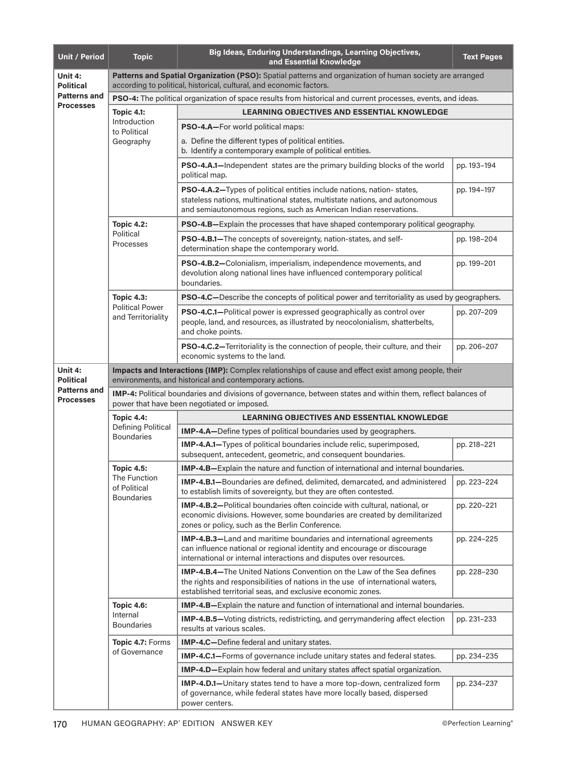| <b>Unit / Period</b>                    | <b>Topic</b>                                                                                                                                                                    | Big Ideas, Enduring Understandings, Learning Objectives,<br>and Essential Knowledge                                                                                                                                           | <b>Text Pages</b> |  |  |
|-----------------------------------------|---------------------------------------------------------------------------------------------------------------------------------------------------------------------------------|-------------------------------------------------------------------------------------------------------------------------------------------------------------------------------------------------------------------------------|-------------------|--|--|
| Unit 4:<br><b>Political</b>             | Patterns and Spatial Organization (PSO): Spatial patterns and organization of human society are arranged<br>according to political, historical, cultural, and economic factors. |                                                                                                                                                                                                                               |                   |  |  |
| <b>Patterns and</b><br><b>Processes</b> |                                                                                                                                                                                 | PSO-4: The political organization of space results from historical and current processes, events, and ideas.                                                                                                                  |                   |  |  |
|                                         | <b>Topic 4.1:</b>                                                                                                                                                               | <b>LEARNING OBJECTIVES AND ESSENTIAL KNOWLEDGE</b>                                                                                                                                                                            |                   |  |  |
|                                         | Introduction<br>to Political                                                                                                                                                    | <b>PSO-4.A-For world political maps:</b>                                                                                                                                                                                      |                   |  |  |
|                                         | Geography                                                                                                                                                                       | a. Define the different types of political entities.<br>b. Identify a contemporary example of political entities.                                                                                                             |                   |  |  |
|                                         |                                                                                                                                                                                 | <b>PSO-4.A.1—Independent states are the primary building blocks of the world</b><br>political map.                                                                                                                            | pp. 193-194       |  |  |
|                                         |                                                                                                                                                                                 | PSO-4.A.2-Types of political entities include nations, nation-states,<br>stateless nations, multinational states, multistate nations, and autonomous<br>and semiautonomous regions, such as American Indian reservations.     | pp. 194-197       |  |  |
|                                         | <b>Topic 4.2:</b>                                                                                                                                                               | PSO-4.B-Explain the processes that have shaped contemporary political geography.                                                                                                                                              |                   |  |  |
|                                         | Political<br>Processes                                                                                                                                                          | <b>PSO-4.B.1-The concepts of sovereignty, nation-states, and self-</b><br>determination shape the contemporary world.                                                                                                         | pp. 198-204       |  |  |
|                                         |                                                                                                                                                                                 | PSO-4.B.2-Colonialism, imperialism, independence movements, and<br>devolution along national lines have influenced contemporary political<br>boundaries.                                                                      | pp. 199-201       |  |  |
|                                         | <b>Topic 4.3:</b>                                                                                                                                                               | <b>PSO-4.C</b> —Describe the concepts of political power and territoriality as used by geographers.                                                                                                                           |                   |  |  |
|                                         | <b>Political Power</b><br>and Territoriality                                                                                                                                    | PSO-4.C.1-Political power is expressed geographically as control over<br>people, land, and resources, as illustrated by neocolonialism, shatterbelts,<br>and choke points.                                                    | pp. 207-209       |  |  |
|                                         |                                                                                                                                                                                 | PSO-4.C.2-Territoriality is the connection of people, their culture, and their<br>economic systems to the land.                                                                                                               | pp. 206-207       |  |  |
| Unit 4:<br><b>Political</b>             | Impacts and Interactions (IMP): Complex relationships of cause and effect exist among people, their<br>environments, and historical and contemporary actions.                   |                                                                                                                                                                                                                               |                   |  |  |
| <b>Patterns and</b><br><b>Processes</b> | IMP-4: Political boundaries and divisions of governance, between states and within them, reflect balances of<br>power that have been negotiated or imposed.                     |                                                                                                                                                                                                                               |                   |  |  |
|                                         | <b>Topic 4.4:</b>                                                                                                                                                               | <b>LEARNING OBJECTIVES AND ESSENTIAL KNOWLEDGE</b>                                                                                                                                                                            |                   |  |  |
|                                         | <b>Defining Political</b><br><b>Boundaries</b>                                                                                                                                  | <b>IMP-4.A-Define types of political boundaries used by geographers.</b>                                                                                                                                                      |                   |  |  |
|                                         |                                                                                                                                                                                 | <b>IMP-4.A.1-Types of political boundaries include relic, superimposed,</b><br>subsequent, antecedent, geometric, and consequent boundaries.                                                                                  | pp. 218-221       |  |  |
|                                         | <b>Topic 4.5:</b><br>The Function<br>of Political<br><b>Boundaries</b>                                                                                                          | <b>IMP-4.B</b> —Explain the nature and function of international and internal boundaries.                                                                                                                                     |                   |  |  |
|                                         |                                                                                                                                                                                 | <b>IMP-4.B.1-Boundaries are defined, delimited, demarcated, and administered</b><br>to establish limits of sovereignty, but they are often contested.                                                                         | pp. 223-224       |  |  |
|                                         |                                                                                                                                                                                 | <b>IMP-4.B.2--Political boundaries often coincide with cultural, national, or</b><br>economic divisions. However, some boundaries are created by demilitarized<br>zones or policy, such as the Berlin Conference.             | pp. 220-221       |  |  |
|                                         |                                                                                                                                                                                 | IMP-4.B.3-Land and maritime boundaries and international agreements<br>can influence national or regional identity and encourage or discourage<br>international or internal interactions and disputes over resources.         | pp. 224-225       |  |  |
|                                         |                                                                                                                                                                                 | <b>IMP-4.B.4-The United Nations Convention on the Law of the Sea defines</b><br>the rights and responsibilities of nations in the use of international waters,<br>established territorial seas, and exclusive economic zones. | pp. 228-230       |  |  |
|                                         | <b>Topic 4.6:</b>                                                                                                                                                               | IMP-4.B-Explain the nature and function of international and internal boundaries.                                                                                                                                             |                   |  |  |
|                                         | Internal<br><b>Boundaries</b>                                                                                                                                                   | <b>IMP-4.B.5-Voting districts, redistricting, and gerrymandering affect election</b><br>results at various scales.                                                                                                            | pp. 231-233       |  |  |
|                                         | Topic 4.7: Forms                                                                                                                                                                | IMP-4.C-Define federal and unitary states.                                                                                                                                                                                    |                   |  |  |
|                                         | of Governance                                                                                                                                                                   | IMP-4.C.1-Forms of governance include unitary states and federal states.                                                                                                                                                      | pp. 234-235       |  |  |
|                                         |                                                                                                                                                                                 | IMP-4.D-Explain how federal and unitary states affect spatial organization.                                                                                                                                                   |                   |  |  |
|                                         |                                                                                                                                                                                 | IMP-4.D.1-Unitary states tend to have a more top-down, centralized form<br>of governance, while federal states have more locally based, dispersed<br>power centers.                                                           | pp. 234-237       |  |  |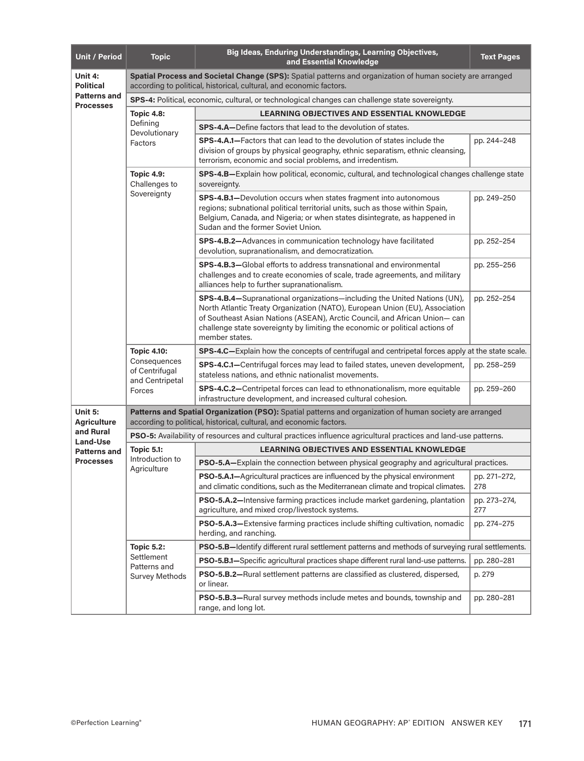| <b>Unit / Period</b>                    | <b>Topic</b>                                                                                                                                                                      | Big Ideas, Enduring Understandings, Learning Objectives,<br>and Essential Knowledge                                                                                                                                                                                                                                                    | <b>Text Pages</b>   |  |  |
|-----------------------------------------|-----------------------------------------------------------------------------------------------------------------------------------------------------------------------------------|----------------------------------------------------------------------------------------------------------------------------------------------------------------------------------------------------------------------------------------------------------------------------------------------------------------------------------------|---------------------|--|--|
| Unit 4:<br><b>Political</b>             | Spatial Process and Societal Change (SPS): Spatial patterns and organization of human society are arranged<br>according to political, historical, cultural, and economic factors. |                                                                                                                                                                                                                                                                                                                                        |                     |  |  |
| <b>Patterns and</b><br><b>Processes</b> | SPS-4: Political, economic, cultural, or technological changes can challenge state sovereignty.                                                                                   |                                                                                                                                                                                                                                                                                                                                        |                     |  |  |
|                                         | <b>Topic 4.8:</b>                                                                                                                                                                 | <b>LEARNING OBJECTIVES AND ESSENTIAL KNOWLEDGE</b>                                                                                                                                                                                                                                                                                     |                     |  |  |
|                                         | Defining<br>Devolutionary                                                                                                                                                         | <b>SPS-4.A-Define factors that lead to the devolution of states.</b>                                                                                                                                                                                                                                                                   |                     |  |  |
|                                         | Factors                                                                                                                                                                           | <b>SPS-4.A.1–Factors that can lead to the devolution of states include the</b><br>division of groups by physical geography, ethnic separatism, ethnic cleansing,<br>terrorism, economic and social problems, and irredentism.                                                                                                          | pp. 244-248         |  |  |
|                                         | <b>Topic 4.9:</b><br>Challenges to                                                                                                                                                | SPS-4.B-Explain how political, economic, cultural, and technological changes challenge state<br>sovereignty.                                                                                                                                                                                                                           |                     |  |  |
|                                         | Sovereignty                                                                                                                                                                       | SPS-4.B.1-Devolution occurs when states fragment into autonomous<br>regions; subnational political territorial units, such as those within Spain,<br>Belgium, Canada, and Nigeria; or when states disintegrate, as happened in<br>Sudan and the former Soviet Union.                                                                   | pp. 249-250         |  |  |
|                                         |                                                                                                                                                                                   | SPS-4.B.2-Advances in communication technology have facilitated<br>devolution, supranationalism, and democratization.                                                                                                                                                                                                                  | pp. 252-254         |  |  |
|                                         |                                                                                                                                                                                   | SPS-4.B.3-Global efforts to address transnational and environmental<br>challenges and to create economies of scale, trade agreements, and military<br>alliances help to further supranationalism.                                                                                                                                      | pp. 255-256         |  |  |
|                                         |                                                                                                                                                                                   | SPS-4.B.4-Supranational organizations-including the United Nations (UN),<br>North Atlantic Treaty Organization (NATO), European Union (EU), Association<br>of Southeast Asian Nations (ASEAN), Arctic Council, and African Union-can<br>challenge state sovereignty by limiting the economic or political actions of<br>member states. | pp. 252-254         |  |  |
|                                         | <b>Topic 4.10:</b><br>Consequences<br>of Centrifugal<br>and Centripetal<br>Forces                                                                                                 | SPS-4.C-Explain how the concepts of centrifugal and centripetal forces apply at the state scale.                                                                                                                                                                                                                                       |                     |  |  |
|                                         |                                                                                                                                                                                   | <b>SPS-4.C.1—Centrifugal forces may lead to failed states, uneven development,</b><br>stateless nations, and ethnic nationalist movements.                                                                                                                                                                                             | pp. 258-259         |  |  |
|                                         |                                                                                                                                                                                   | SPS-4.C.2-Centripetal forces can lead to ethnonationalism, more equitable<br>infrastructure development, and increased cultural cohesion.                                                                                                                                                                                              | pp. 259-260         |  |  |
| Unit 5:<br><b>Agriculture</b>           | Patterns and Spatial Organization (PSO): Spatial patterns and organization of human society are arranged<br>according to political, historical, cultural, and economic factors.   |                                                                                                                                                                                                                                                                                                                                        |                     |  |  |
| and Rural<br><b>Land-Use</b>            | <b>PSO-5:</b> Availability of resources and cultural practices influence agricultural practices and land-use patterns.                                                            |                                                                                                                                                                                                                                                                                                                                        |                     |  |  |
| <b>Patterns and</b>                     | <b>Topic 5.1:</b>                                                                                                                                                                 | <b>LEARNING OBJECTIVES AND ESSENTIAL KNOWLEDGE</b>                                                                                                                                                                                                                                                                                     |                     |  |  |
| <b>Processes</b>                        | Introduction to<br>Agriculture                                                                                                                                                    | PSO-5.A-Explain the connection between physical geography and agricultural practices.                                                                                                                                                                                                                                                  |                     |  |  |
|                                         |                                                                                                                                                                                   | <b>PSO-5.A.1-</b> Agricultural practices are influenced by the physical environment<br>and climatic conditions, such as the Mediterranean climate and tropical climates.                                                                                                                                                               | pp. 271-272,<br>278 |  |  |
|                                         |                                                                                                                                                                                   | <b>PSO-5.A.2—</b> Intensive farming practices include market gardening, plantation<br>agriculture, and mixed crop/livestock systems.                                                                                                                                                                                                   | pp. 273-274,<br>277 |  |  |
|                                         |                                                                                                                                                                                   | PSO-5.A.3-Extensive farming practices include shifting cultivation, nomadic<br>herding, and ranching.                                                                                                                                                                                                                                  | pp. 274-275         |  |  |
|                                         | <b>Topic 5.2:</b>                                                                                                                                                                 | PSO-5.B-Identify different rural settlement patterns and methods of surveying rural settlements.                                                                                                                                                                                                                                       |                     |  |  |
|                                         | Settlement<br>Patterns and                                                                                                                                                        | PSO-5.B.1-Specific agricultural practices shape different rural land-use patterns.                                                                                                                                                                                                                                                     | pp. 280-281         |  |  |
|                                         | <b>Survey Methods</b>                                                                                                                                                             | PSO-5.B.2-Rural settlement patterns are classified as clustered, dispersed,<br>or linear.                                                                                                                                                                                                                                              | p. 279              |  |  |
|                                         |                                                                                                                                                                                   | PSO-5.B.3-Rural survey methods include metes and bounds, township and<br>range, and long lot.                                                                                                                                                                                                                                          | pp. 280-281         |  |  |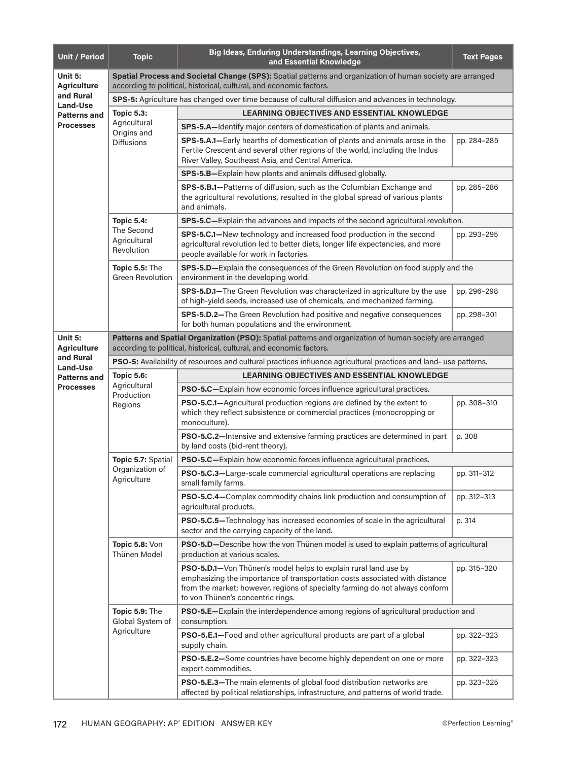| <b>Unit / Period</b>                                | <b>Topic</b>                                                                                                                                                                      | Big Ideas, Enduring Understandings, Learning Objectives,<br>and Essential Knowledge                                                                                                                                                                                 | <b>Text Pages</b> |  |  |
|-----------------------------------------------------|-----------------------------------------------------------------------------------------------------------------------------------------------------------------------------------|---------------------------------------------------------------------------------------------------------------------------------------------------------------------------------------------------------------------------------------------------------------------|-------------------|--|--|
| Unit 5:<br><b>Agriculture</b>                       | Spatial Process and Societal Change (SPS): Spatial patterns and organization of human society are arranged<br>according to political, historical, cultural, and economic factors. |                                                                                                                                                                                                                                                                     |                   |  |  |
| and Rural<br><b>Land-Use</b><br><b>Patterns and</b> |                                                                                                                                                                                   | SPS-5: Agriculture has changed over time because of cultural diffusion and advances in technology.                                                                                                                                                                  |                   |  |  |
|                                                     | <b>Topic 5.3:</b>                                                                                                                                                                 | <b>LEARNING OBJECTIVES AND ESSENTIAL KNOWLEDGE</b>                                                                                                                                                                                                                  |                   |  |  |
| <b>Processes</b>                                    | Agricultural<br>Origins and                                                                                                                                                       | SPS-5.A-Identify major centers of domestication of plants and animals.                                                                                                                                                                                              |                   |  |  |
|                                                     | <b>Diffusions</b>                                                                                                                                                                 | SPS-5.A.1-Early hearths of domestication of plants and animals arose in the<br>Fertile Crescent and several other regions of the world, including the Indus<br>River Valley, Southeast Asia, and Central America.                                                   | pp. 284-285       |  |  |
|                                                     |                                                                                                                                                                                   | SPS-5.B-Explain how plants and animals diffused globally.                                                                                                                                                                                                           |                   |  |  |
|                                                     |                                                                                                                                                                                   | SPS-5.B.1-Patterns of diffusion, such as the Columbian Exchange and<br>the agricultural revolutions, resulted in the global spread of various plants<br>and animals.                                                                                                | pp. 285-286       |  |  |
|                                                     | <b>Topic 5.4:</b>                                                                                                                                                                 | SPS-5.C-Explain the advances and impacts of the second agricultural revolution.                                                                                                                                                                                     |                   |  |  |
|                                                     | The Second<br>Agricultural<br>Revolution                                                                                                                                          | SPS-5.C.1-New technology and increased food production in the second<br>agricultural revolution led to better diets, longer life expectancies, and more<br>people available for work in factories.                                                                  | pp. 293-295       |  |  |
|                                                     | Topic 5.5: The<br><b>Green Revolution</b>                                                                                                                                         | SPS-5.D-Explain the consequences of the Green Revolution on food supply and the<br>environment in the developing world.                                                                                                                                             |                   |  |  |
|                                                     |                                                                                                                                                                                   | SPS-5.D.1-The Green Revolution was characterized in agriculture by the use<br>of high-yield seeds, increased use of chemicals, and mechanized farming.                                                                                                              | pp. 296-298       |  |  |
|                                                     |                                                                                                                                                                                   | <b>SPS-5.D.2-The Green Revolution had positive and negative consequences</b><br>for both human populations and the environment.                                                                                                                                     | pp. 298-301       |  |  |
| Unit 5:<br><b>Agriculture</b>                       | Patterns and Spatial Organization (PSO): Spatial patterns and organization of human society are arranged<br>according to political, historical, cultural, and economic factors.   |                                                                                                                                                                                                                                                                     |                   |  |  |
| and Rural<br>Land-Use                               |                                                                                                                                                                                   | <b>PSO-5:</b> Availability of resources and cultural practices influence agricultural practices and land- use patterns.                                                                                                                                             |                   |  |  |
| <b>Patterns and</b>                                 | <b>Topic 5.6:</b>                                                                                                                                                                 | <b>LEARNING OBJECTIVES AND ESSENTIAL KNOWLEDGE</b>                                                                                                                                                                                                                  |                   |  |  |
| <b>Processes</b>                                    | Agricultural<br>Production<br>Regions                                                                                                                                             | PSO-5.C-Explain how economic forces influence agricultural practices.                                                                                                                                                                                               |                   |  |  |
|                                                     |                                                                                                                                                                                   | PSO-5.C.1-Agricultural production regions are defined by the extent to<br>which they reflect subsistence or commercial practices (monocropping or<br>monoculture).                                                                                                  | pp. 308-310       |  |  |
|                                                     |                                                                                                                                                                                   | PSO-5.C.2-Intensive and extensive farming practices are determined in part<br>by land costs (bid-rent theory).                                                                                                                                                      | p. 308            |  |  |
|                                                     | Topic 5.7: Spatial<br>Organization of<br>Agriculture                                                                                                                              | PSO-5.C-Explain how economic forces influence agricultural practices.                                                                                                                                                                                               |                   |  |  |
|                                                     |                                                                                                                                                                                   | <b>PSO-5.C.3-Large-scale commercial agricultural operations are replacing</b><br>small family farms.                                                                                                                                                                | pp. 311-312       |  |  |
|                                                     |                                                                                                                                                                                   | PSO-5.C.4-Complex commodity chains link production and consumption of<br>agricultural products.                                                                                                                                                                     | pp. 312-313       |  |  |
|                                                     |                                                                                                                                                                                   | PSO-5.C.5-Technology has increased economies of scale in the agricultural<br>sector and the carrying capacity of the land.                                                                                                                                          | p. 314            |  |  |
|                                                     | Topic 5.8: Von<br>Thünen Model                                                                                                                                                    | PSO-5.D-Describe how the von Thünen model is used to explain patterns of agricultural<br>production at various scales.                                                                                                                                              |                   |  |  |
|                                                     |                                                                                                                                                                                   | PSO-5.D.1-Von Thünen's model helps to explain rural land use by<br>emphasizing the importance of transportation costs associated with distance<br>from the market; however, regions of specialty farming do not always conform<br>to von Thünen's concentric rings. | pp. 315-320       |  |  |
|                                                     | Topic 5.9: The<br>Global System of                                                                                                                                                | PSO-5.E-Explain the interdependence among regions of agricultural production and<br>consumption.                                                                                                                                                                    |                   |  |  |
|                                                     | Agriculture                                                                                                                                                                       | PSO-5.E.1-Food and other agricultural products are part of a global<br>supply chain.                                                                                                                                                                                | pp. 322-323       |  |  |
|                                                     |                                                                                                                                                                                   | PSO-5.E.2-Some countries have become highly dependent on one or more<br>export commodities.                                                                                                                                                                         | pp. 322-323       |  |  |
|                                                     |                                                                                                                                                                                   | PSO-5.E.3-The main elements of global food distribution networks are<br>affected by political relationships, infrastructure, and patterns of world trade.                                                                                                           | pp. 323-325       |  |  |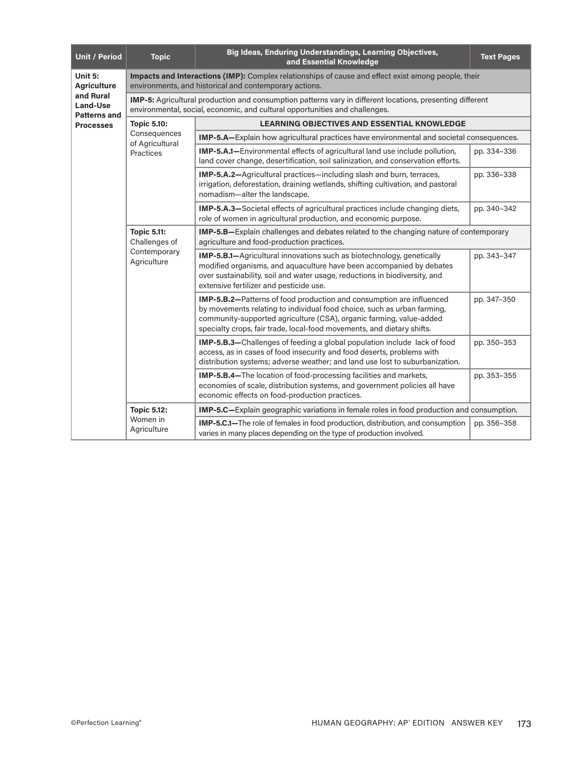| <b>Unit / Period</b>                                                    | <b>Topic</b>                                                                                                                                                                                    | Big Ideas, Enduring Understandings, Learning Objectives,<br>and Essential Knowledge                                                                                                                                                                                                              | <b>Text Pages</b> |  |  |
|-------------------------------------------------------------------------|-------------------------------------------------------------------------------------------------------------------------------------------------------------------------------------------------|--------------------------------------------------------------------------------------------------------------------------------------------------------------------------------------------------------------------------------------------------------------------------------------------------|-------------------|--|--|
| Unit 5:<br><b>Agriculture</b>                                           | Impacts and Interactions (IMP): Complex relationships of cause and effect exist among people, their<br>environments, and historical and contemporary actions.                                   |                                                                                                                                                                                                                                                                                                  |                   |  |  |
| and Rural<br><b>Land-Use</b><br><b>Patterns and</b><br><b>Processes</b> | <b>IMP-5:</b> Agricultural production and consumption patterns vary in different locations, presenting different<br>environmental, social, economic, and cultural opportunities and challenges. |                                                                                                                                                                                                                                                                                                  |                   |  |  |
|                                                                         | <b>Topic 5.10:</b>                                                                                                                                                                              | <b>LEARNING OBJECTIVES AND ESSENTIAL KNOWLEDGE</b>                                                                                                                                                                                                                                               |                   |  |  |
|                                                                         | Consequences<br>of Agricultural                                                                                                                                                                 | <b>IMP-5.A-Explain how agricultural practices have environmental and societal consequences.</b>                                                                                                                                                                                                  |                   |  |  |
|                                                                         | Practices                                                                                                                                                                                       | IMP-5.A.1-Environmental effects of agricultural land use include pollution,<br>land cover change, desertification, soil salinization, and conservation efforts.                                                                                                                                  | pp. 334-336       |  |  |
|                                                                         |                                                                                                                                                                                                 | <b>IMP-5.A.2-</b> Agricultural practices-including slash and burn, terraces,<br>irrigation, deforestation, draining wetlands, shifting cultivation, and pastoral<br>nomadism-alter the landscape.                                                                                                | pp. 336-338       |  |  |
|                                                                         |                                                                                                                                                                                                 | <b>IMP-5.A.3-Societal effects of agricultural practices include changing diets,</b><br>role of women in agricultural production, and economic purpose.                                                                                                                                           | pp. 340-342       |  |  |
|                                                                         | <b>Topic 5.11:</b><br>Challenges of<br>Contemporary<br>Agriculture                                                                                                                              | IMP-5.B-Explain challenges and debates related to the changing nature of contemporary<br>agriculture and food-production practices.                                                                                                                                                              |                   |  |  |
|                                                                         |                                                                                                                                                                                                 | IMP-5.B.1-Agricultural innovations such as biotechnology, genetically<br>modified organisms, and aquaculture have been accompanied by debates<br>over sustainability, soil and water usage, reductions in biodiversity, and<br>extensive fertilizer and pesticide use.                           | pp. 343-347       |  |  |
|                                                                         |                                                                                                                                                                                                 | IMP-5.B.2-Patterns of food production and consumption are influenced<br>by movements relating to individual food choice, such as urban farming,<br>community-supported agriculture (CSA), organic farming, value-added<br>specialty crops, fair trade, local-food movements, and dietary shifts. | pp. 347-350       |  |  |
|                                                                         |                                                                                                                                                                                                 | IMP-5.B.3-Challenges of feeding a global population include lack of food<br>access, as in cases of food insecurity and food deserts, problems with<br>distribution systems; adverse weather; and land use lost to suburbanization.                                                               | pp. 350-353       |  |  |
|                                                                         |                                                                                                                                                                                                 | <b>IMP-5.B.4-The location of food-processing facilities and markets,</b><br>economies of scale, distribution systems, and government policies all have<br>economic effects on food-production practices.                                                                                         | pp. 353-355       |  |  |
|                                                                         | <b>Topic 5.12:</b>                                                                                                                                                                              | <b>IMP-5.C</b> —Explain geographic variations in female roles in food production and consumption.                                                                                                                                                                                                |                   |  |  |
|                                                                         | Women in<br>Agriculture                                                                                                                                                                         | IMP-5.C.1-The role of females in food production, distribution, and consumption<br>varies in many places depending on the type of production involved.                                                                                                                                           | pp. 356-358       |  |  |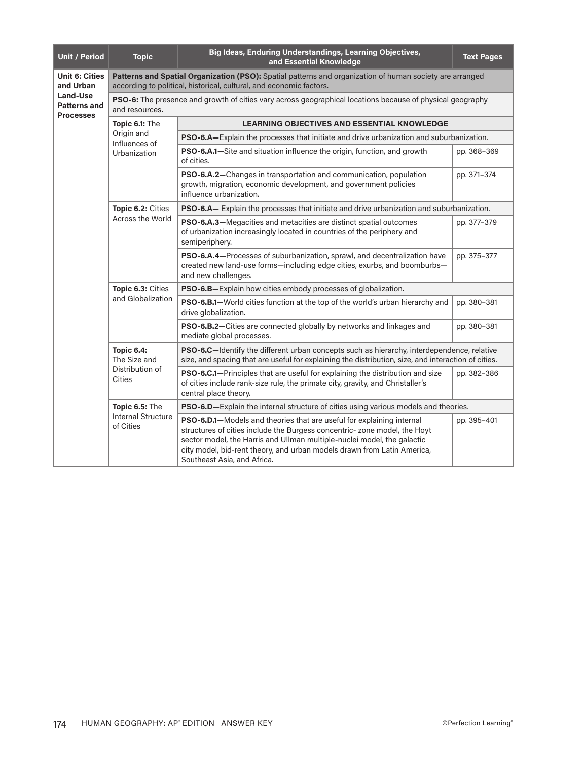| <b>Unit / Period</b>                                | <b>Topic</b>                                                                                                                                                                    | Big Ideas, Enduring Understandings, Learning Objectives,<br>and Essential Knowledge                                                                                                                                                                                                                                                     | <b>Text Pages</b> |  |  |
|-----------------------------------------------------|---------------------------------------------------------------------------------------------------------------------------------------------------------------------------------|-----------------------------------------------------------------------------------------------------------------------------------------------------------------------------------------------------------------------------------------------------------------------------------------------------------------------------------------|-------------------|--|--|
| <b>Unit 6: Cities</b><br>and Urban                  | Patterns and Spatial Organization (PSO): Spatial patterns and organization of human society are arranged<br>according to political, historical, cultural, and economic factors. |                                                                                                                                                                                                                                                                                                                                         |                   |  |  |
| Land-Use<br><b>Patterns and</b><br><b>Processes</b> | and resources.                                                                                                                                                                  | PSO-6: The presence and growth of cities vary across geographical locations because of physical geography                                                                                                                                                                                                                               |                   |  |  |
|                                                     | Topic 6.1: The                                                                                                                                                                  | <b>LEARNING OBJECTIVES AND ESSENTIAL KNOWLEDGE</b>                                                                                                                                                                                                                                                                                      |                   |  |  |
|                                                     | Origin and<br>Influences of                                                                                                                                                     | PSO-6.A-Explain the processes that initiate and drive urbanization and suburbanization.                                                                                                                                                                                                                                                 |                   |  |  |
|                                                     | Urbanization                                                                                                                                                                    | PSO-6.A.1-Site and situation influence the origin, function, and growth<br>of cities.                                                                                                                                                                                                                                                   | pp. 368-369       |  |  |
|                                                     |                                                                                                                                                                                 | PSO-6.A.2-Changes in transportation and communication, population<br>growth, migration, economic development, and government policies<br>influence urbanization.                                                                                                                                                                        | pp. 371-374       |  |  |
|                                                     | Topic 6.2: Cities                                                                                                                                                               | PSO-6.A- Explain the processes that initiate and drive urbanization and suburbanization.                                                                                                                                                                                                                                                |                   |  |  |
|                                                     | Across the World                                                                                                                                                                | PSO-6.A.3-Megacities and metacities are distinct spatial outcomes<br>of urbanization increasingly located in countries of the periphery and<br>semiperiphery.                                                                                                                                                                           | pp. 377-379       |  |  |
|                                                     |                                                                                                                                                                                 | PSO-6.A.4-Processes of suburbanization, sprawl, and decentralization have<br>created new land-use forms-including edge cities, exurbs, and boomburbs-<br>and new challenges.                                                                                                                                                            | pp. 375-377       |  |  |
|                                                     | Topic 6.3: Cities<br>and Globalization                                                                                                                                          | <b>PSO-6.B-Explain how cities embody processes of globalization.</b>                                                                                                                                                                                                                                                                    |                   |  |  |
|                                                     |                                                                                                                                                                                 | PSO-6.B.1-World cities function at the top of the world's urban hierarchy and<br>drive globalization.                                                                                                                                                                                                                                   | pp. 380-381       |  |  |
|                                                     |                                                                                                                                                                                 | PSO-6.B.2-Cities are connected globally by networks and linkages and<br>mediate global processes.                                                                                                                                                                                                                                       | pp. 380-381       |  |  |
|                                                     | <b>Topic 6.4:</b><br>The Size and<br>Distribution of<br>Cities                                                                                                                  | PSO-6.C-Identify the different urban concepts such as hierarchy, interdependence, relative<br>size, and spacing that are useful for explaining the distribution, size, and interaction of cities.                                                                                                                                       |                   |  |  |
|                                                     |                                                                                                                                                                                 | PSO-6.C.1-Principles that are useful for explaining the distribution and size<br>of cities include rank-size rule, the primate city, gravity, and Christaller's<br>central place theory.                                                                                                                                                | pp. 382-386       |  |  |
|                                                     | Topic 6.5: The                                                                                                                                                                  | <b>PSO-6.D</b> —Explain the internal structure of cities using various models and theories.                                                                                                                                                                                                                                             |                   |  |  |
|                                                     | <b>Internal Structure</b><br>of Cities                                                                                                                                          | PSO-6.D.1-Models and theories that are useful for explaining internal<br>structures of cities include the Burgess concentric- zone model, the Hoyt<br>sector model, the Harris and Ullman multiple-nuclei model, the galactic<br>city model, bid-rent theory, and urban models drawn from Latin America,<br>Southeast Asia, and Africa. | pp. 395-401       |  |  |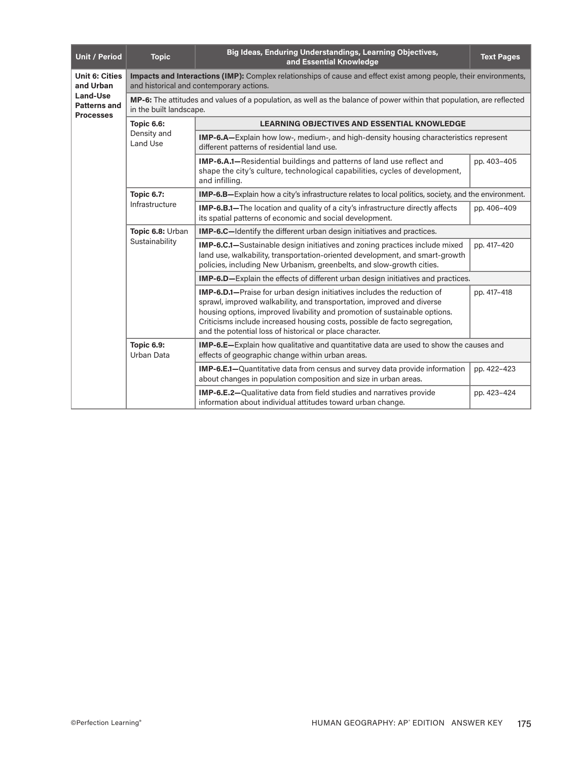| <b>Unit / Period</b>                                | <b>Topic</b>                                                                                                                                                  | Big Ideas, Enduring Understandings, Learning Objectives,<br>and Essential Knowledge                                                                                                                                                                                                                                                                                               | <b>Text Pages</b> |  |  |
|-----------------------------------------------------|---------------------------------------------------------------------------------------------------------------------------------------------------------------|-----------------------------------------------------------------------------------------------------------------------------------------------------------------------------------------------------------------------------------------------------------------------------------------------------------------------------------------------------------------------------------|-------------------|--|--|
| <b>Unit 6: Cities</b><br>and Urban                  | Impacts and Interactions (IMP): Complex relationships of cause and effect exist among people, their environments,<br>and historical and contemporary actions. |                                                                                                                                                                                                                                                                                                                                                                                   |                   |  |  |
| Land-Use<br><b>Patterns and</b><br><b>Processes</b> | MP-6: The attitudes and values of a population, as well as the balance of power within that population, are reflected<br>in the built landscape.              |                                                                                                                                                                                                                                                                                                                                                                                   |                   |  |  |
|                                                     | <b>Topic 6.6:</b>                                                                                                                                             | <b>LEARNING OBJECTIVES AND ESSENTIAL KNOWLEDGE</b>                                                                                                                                                                                                                                                                                                                                |                   |  |  |
|                                                     | Density and<br><b>Land Use</b>                                                                                                                                | IMP-6.A-Explain how low-, medium-, and high-density housing characteristics represent<br>different patterns of residential land use.                                                                                                                                                                                                                                              |                   |  |  |
|                                                     |                                                                                                                                                               | IMP-6.A.1-Residential buildings and patterns of land use reflect and<br>shape the city's culture, technological capabilities, cycles of development,<br>and infilling.                                                                                                                                                                                                            | pp. 403-405       |  |  |
|                                                     | <b>Topic 6.7:</b>                                                                                                                                             | <b>IMP-6.B</b> —Explain how a city's infrastructure relates to local politics, society, and the environment.                                                                                                                                                                                                                                                                      |                   |  |  |
|                                                     | Infrastructure                                                                                                                                                | IMP-6.B.1-The location and quality of a city's infrastructure directly affects<br>its spatial patterns of economic and social development.                                                                                                                                                                                                                                        | pp. 406-409       |  |  |
|                                                     | Topic 6.8: Urban<br>Sustainability                                                                                                                            | <b>IMP-6.C</b> —Identify the different urban design initiatives and practices.                                                                                                                                                                                                                                                                                                    |                   |  |  |
|                                                     |                                                                                                                                                               | <b>IMP-6.C.1</b> —Sustainable design initiatives and zoning practices include mixed<br>land use, walkability, transportation-oriented development, and smart-growth<br>policies, including New Urbanism, greenbelts, and slow-growth cities.                                                                                                                                      | pp. 417-420       |  |  |
|                                                     |                                                                                                                                                               | <b>IMP-6.D</b> —Explain the effects of different urban design initiatives and practices.                                                                                                                                                                                                                                                                                          |                   |  |  |
|                                                     |                                                                                                                                                               | <b>IMP-6.D.1-</b> Praise for urban design initiatives includes the reduction of<br>sprawl, improved walkability, and transportation, improved and diverse<br>housing options, improved livability and promotion of sustainable options.<br>Criticisms include increased housing costs, possible de facto segregation,<br>and the potential loss of historical or place character. | pp. 417-418       |  |  |
|                                                     | <b>Topic 6.9:</b><br>Urban Data                                                                                                                               | <b>IMP-6.E</b> -Explain how qualitative and quantitative data are used to show the causes and<br>effects of geographic change within urban areas.                                                                                                                                                                                                                                 |                   |  |  |
|                                                     |                                                                                                                                                               | <b>IMP-6.E.1-</b> Quantitative data from census and survey data provide information<br>about changes in population composition and size in urban areas.                                                                                                                                                                                                                           | pp. 422-423       |  |  |
|                                                     |                                                                                                                                                               | IMP-6.E.2-Qualitative data from field studies and narratives provide<br>information about individual attitudes toward urban change.                                                                                                                                                                                                                                               | pp. 423-424       |  |  |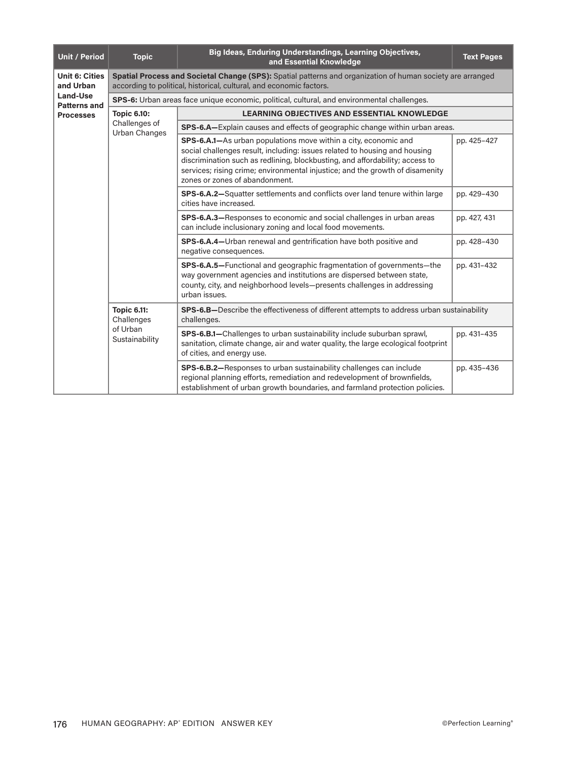| <b>Unit / Period</b>               | <b>Topic</b>                                                                                       | Big Ideas, Enduring Understandings, Learning Objectives,<br>and Essential Knowledge                                                                                                                                                                                                                                                                      | <b>Text Pages</b> |  |  |
|------------------------------------|----------------------------------------------------------------------------------------------------|----------------------------------------------------------------------------------------------------------------------------------------------------------------------------------------------------------------------------------------------------------------------------------------------------------------------------------------------------------|-------------------|--|--|
| <b>Unit 6: Cities</b><br>and Urban |                                                                                                    | Spatial Process and Societal Change (SPS): Spatial patterns and organization of human society are arranged<br>according to political, historical, cultural, and economic factors.                                                                                                                                                                        |                   |  |  |
| Land-Use<br><b>Patterns and</b>    | <b>SPS-6:</b> Urban areas face unique economic, political, cultural, and environmental challenges. |                                                                                                                                                                                                                                                                                                                                                          |                   |  |  |
| <b>Processes</b>                   | <b>Topic 6.10:</b>                                                                                 | <b>LEARNING OBJECTIVES AND ESSENTIAL KNOWLEDGE</b>                                                                                                                                                                                                                                                                                                       |                   |  |  |
|                                    | Challenges of<br><b>Urban Changes</b>                                                              | <b>SPS-6.A</b> —Explain causes and effects of geographic change within urban areas.                                                                                                                                                                                                                                                                      |                   |  |  |
|                                    |                                                                                                    | <b>SPS-6.A.1–</b> As urban populations move within a city, economic and<br>social challenges result, including: issues related to housing and housing<br>discrimination such as redlining, blockbusting, and affordability; access to<br>services; rising crime; environmental injustice; and the growth of disamenity<br>zones or zones of abandonment. | pp. 425-427       |  |  |
|                                    |                                                                                                    | SPS-6.A.2-Squatter settlements and conflicts over land tenure within large<br>cities have increased.                                                                                                                                                                                                                                                     | pp. 429-430       |  |  |
|                                    |                                                                                                    | SPS-6.A.3-Responses to economic and social challenges in urban areas<br>can include inclusionary zoning and local food movements.                                                                                                                                                                                                                        | pp. 427, 431      |  |  |
|                                    |                                                                                                    | SPS-6.A.4-Urban renewal and gentrification have both positive and<br>negative consequences.                                                                                                                                                                                                                                                              | pp. 428-430       |  |  |
|                                    |                                                                                                    | SPS-6.A.5-Functional and geographic fragmentation of governments-the<br>way government agencies and institutions are dispersed between state,<br>county, city, and neighborhood levels-presents challenges in addressing<br>urban issues.                                                                                                                | pp. 431-432       |  |  |
|                                    | <b>Topic 6.11:</b><br>Challenges<br>of Urban<br>Sustainability                                     | <b>SPS-6.B-Describe the effectiveness of different attempts to address urban sustainability</b><br>challenges.                                                                                                                                                                                                                                           |                   |  |  |
|                                    |                                                                                                    | SPS-6.B.1-Challenges to urban sustainability include suburban sprawl,<br>sanitation, climate change, air and water quality, the large ecological footprint<br>of cities, and energy use.                                                                                                                                                                 | pp. 431-435       |  |  |
|                                    |                                                                                                    | SPS-6.B.2-Responses to urban sustainability challenges can include<br>regional planning efforts, remediation and redevelopment of brownfields,<br>establishment of urban growth boundaries, and farmland protection policies.                                                                                                                            | pp. 435-436       |  |  |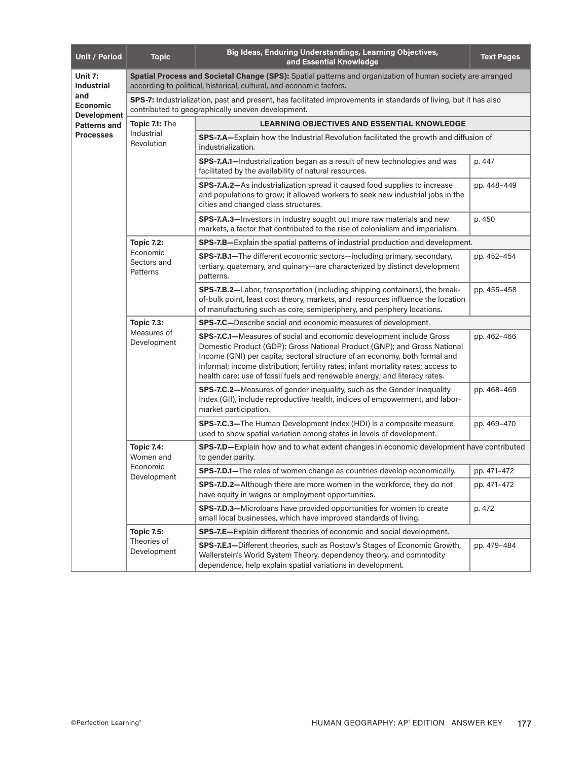| <b>Unit / Period</b>                                                         | <b>Topic</b>                                                                                                                                                                      | Big Ideas, Enduring Understandings, Learning Objectives,<br>and Essential Knowledge                                                                                                                                                                                                                                                                                                                      | <b>Text Pages</b> |  |  |
|------------------------------------------------------------------------------|-----------------------------------------------------------------------------------------------------------------------------------------------------------------------------------|----------------------------------------------------------------------------------------------------------------------------------------------------------------------------------------------------------------------------------------------------------------------------------------------------------------------------------------------------------------------------------------------------------|-------------------|--|--|
| Unit 7:<br><b>Industrial</b><br>and<br><b>Economic</b><br><b>Development</b> | Spatial Process and Societal Change (SPS): Spatial patterns and organization of human society are arranged<br>according to political, historical, cultural, and economic factors. |                                                                                                                                                                                                                                                                                                                                                                                                          |                   |  |  |
|                                                                              | SPS-7: Industrialization, past and present, has facilitated improvements in standards of living, but it has also<br>contributed to geographically uneven development.             |                                                                                                                                                                                                                                                                                                                                                                                                          |                   |  |  |
| <b>Patterns and</b>                                                          | Topic 7.1: The                                                                                                                                                                    | <b>LEARNING OBJECTIVES AND ESSENTIAL KNOWLEDGE</b>                                                                                                                                                                                                                                                                                                                                                       |                   |  |  |
| <b>Processes</b>                                                             | Industrial<br>Revolution                                                                                                                                                          | SPS-7.A—Explain how the Industrial Revolution facilitated the growth and diffusion of<br>industrialization.                                                                                                                                                                                                                                                                                              |                   |  |  |
|                                                                              |                                                                                                                                                                                   | SPS-7.A.1-Industrialization began as a result of new technologies and was<br>facilitated by the availability of natural resources.                                                                                                                                                                                                                                                                       | p. 447            |  |  |
|                                                                              |                                                                                                                                                                                   | SPS-7.A.2-As industrialization spread it caused food supplies to increase<br>and populations to grow; it allowed workers to seek new industrial jobs in the<br>cities and changed class structures.                                                                                                                                                                                                      | pp. 448-449       |  |  |
|                                                                              |                                                                                                                                                                                   | SPS-7.A.3-Investors in industry sought out more raw materials and new<br>markets, a factor that contributed to the rise of colonialism and imperialism.                                                                                                                                                                                                                                                  | p. 450            |  |  |
|                                                                              | <b>Topic 7.2:</b>                                                                                                                                                                 | <b>SPS-7.B</b> -Explain the spatial patterns of industrial production and development.                                                                                                                                                                                                                                                                                                                   |                   |  |  |
|                                                                              | Economic<br>Sectors and<br>Patterns                                                                                                                                               | SPS-7.B.1-The different economic sectors-including primary, secondary,<br>tertiary, quaternary, and quinary-are characterized by distinct development<br>patterns.                                                                                                                                                                                                                                       | pp. 452-454       |  |  |
|                                                                              |                                                                                                                                                                                   | SPS-7.B.2-Labor, transportation (including shipping containers), the break-<br>of-bulk point, least cost theory, markets, and resources influence the location<br>of manufacturing such as core, semiperiphery, and periphery locations.                                                                                                                                                                 | pp. 455-458       |  |  |
|                                                                              | <b>Topic 7.3:</b><br>Measures of<br>Development                                                                                                                                   | SPS-7.C-Describe social and economic measures of development.                                                                                                                                                                                                                                                                                                                                            |                   |  |  |
|                                                                              |                                                                                                                                                                                   | <b>SPS-7.C.1-</b> Measures of social and economic development include Gross<br>Domestic Product (GDP); Gross National Product (GNP); and Gross National<br>Income (GNI) per capita; sectoral structure of an economy, both formal and<br>informal; income distribution; fertility rates; infant mortality rates; access to<br>health care; use of fossil fuels and renewable energy; and literacy rates. | pp. 462-466       |  |  |
|                                                                              |                                                                                                                                                                                   | SPS-7.C.2-Measures of gender inequality, such as the Gender Inequality<br>Index (GII), include reproductive health, indices of empowerment, and labor-<br>market participation.                                                                                                                                                                                                                          | pp. 468-469       |  |  |
|                                                                              |                                                                                                                                                                                   | SPS-7.C.3-The Human Development Index (HDI) is a composite measure<br>used to show spatial variation among states in levels of development.                                                                                                                                                                                                                                                              | pp. 469-470       |  |  |
|                                                                              | <b>Topic 7.4:</b><br>Women and<br>Economic<br>Development                                                                                                                         | <b>SPS-7.D-Explain how and to what extent changes in economic development have contributed</b><br>to gender parity.                                                                                                                                                                                                                                                                                      |                   |  |  |
|                                                                              |                                                                                                                                                                                   | SPS-7.D.1-The roles of women change as countries develop economically.                                                                                                                                                                                                                                                                                                                                   | pp. 471-472       |  |  |
|                                                                              |                                                                                                                                                                                   | SPS-7.D.2-Although there are more women in the workforce, they do not<br>have equity in wages or employment opportunities.                                                                                                                                                                                                                                                                               | pp. 471-472       |  |  |
|                                                                              |                                                                                                                                                                                   | SPS-7.D.3-Microloans have provided opportunities for women to create<br>small local businesses, which have improved standards of living.                                                                                                                                                                                                                                                                 | p. 472            |  |  |
|                                                                              | <b>Topic 7.5:</b><br>Theories of<br>Development                                                                                                                                   | SPS-7.E-Explain different theories of economic and social development.                                                                                                                                                                                                                                                                                                                                   |                   |  |  |
|                                                                              |                                                                                                                                                                                   | SPS-7.E.1-Different theories, such as Rostow's Stages of Economic Growth,<br>Wallerstein's World System Theory, dependency theory, and commodity<br>dependence, help explain spatial variations in development.                                                                                                                                                                                          | pp. 479-484       |  |  |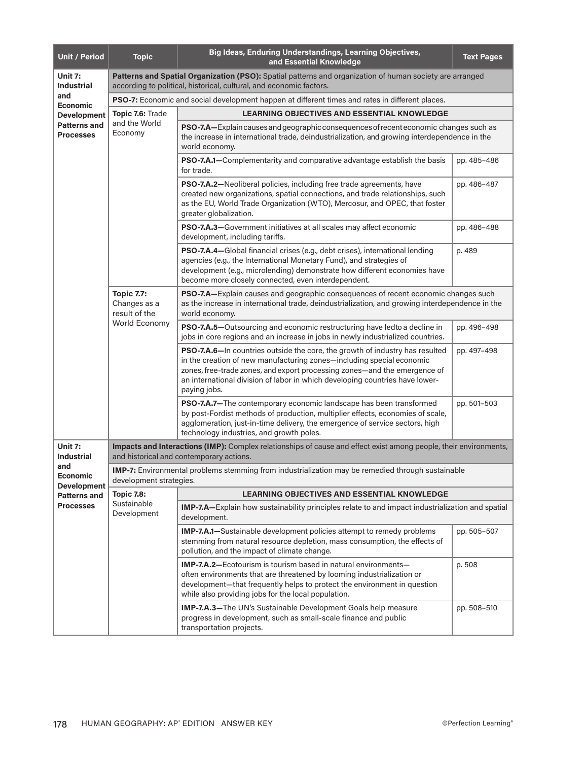| <b>Unit / Period</b>                                          | <b>Topic</b>                                                                                                                                                                    | Big Ideas, Enduring Understandings, Learning Objectives,<br>and Essential Knowledge                                                                                                                                                                                                                                                | <b>Text Pages</b> |  |  |  |
|---------------------------------------------------------------|---------------------------------------------------------------------------------------------------------------------------------------------------------------------------------|------------------------------------------------------------------------------------------------------------------------------------------------------------------------------------------------------------------------------------------------------------------------------------------------------------------------------------|-------------------|--|--|--|
| Unit 7:<br><b>Industrial</b>                                  | Patterns and Spatial Organization (PSO): Spatial patterns and organization of human society are arranged<br>according to political, historical, cultural, and economic factors. |                                                                                                                                                                                                                                                                                                                                    |                   |  |  |  |
| and<br><b>Economic</b>                                        | <b>PSO-7:</b> Economic and social development happen at different times and rates in different places.                                                                          |                                                                                                                                                                                                                                                                                                                                    |                   |  |  |  |
| <b>Development</b><br><b>Patterns and</b><br><b>Processes</b> | Topic 7.6: Trade                                                                                                                                                                | <b>LEARNING OBJECTIVES AND ESSENTIAL KNOWLEDGE</b>                                                                                                                                                                                                                                                                                 |                   |  |  |  |
|                                                               | and the World<br>Economy                                                                                                                                                        | PSO-7.A-Explain causes and geographic consequences of recent economic changes such as<br>the increase in international trade, deindustrialization, and growing interdependence in the<br>world economy.                                                                                                                            |                   |  |  |  |
|                                                               |                                                                                                                                                                                 | PSO-7.A.1-Complementarity and comparative advantage establish the basis<br>for trade.                                                                                                                                                                                                                                              | pp. 485-486       |  |  |  |
|                                                               |                                                                                                                                                                                 | PSO-7.A.2-Neoliberal policies, including free trade agreements, have<br>created new organizations, spatial connections, and trade relationships, such<br>as the EU, World Trade Organization (WTO), Mercosur, and OPEC, that foster<br>greater globalization.                                                                      | pp. 486-487       |  |  |  |
|                                                               |                                                                                                                                                                                 | PSO-7.A.3-Government initiatives at all scales may affect economic<br>development, including tariffs.                                                                                                                                                                                                                              | pp. 486-488       |  |  |  |
|                                                               |                                                                                                                                                                                 | PSO-7.A.4-Global financial crises (e.g., debt crises), international lending<br>agencies (e.g., the International Monetary Fund), and strategies of<br>development (e.g., microlending) demonstrate how different economies have<br>become more closely connected, even interdependent.                                            | p. 489            |  |  |  |
|                                                               | <b>Topic 7.7:</b><br>Changes as a<br>result of the<br>World Economy                                                                                                             | PSO-7.A-Explain causes and geographic consequences of recent economic changes such<br>as the increase in international trade, deindustrialization, and growing interdependence in the<br>world economy.                                                                                                                            |                   |  |  |  |
|                                                               |                                                                                                                                                                                 | PSO-7.A.5-Outsourcing and economic restructuring have ledto a decline in<br>jobs in core regions and an increase in jobs in newly industrialized countries.                                                                                                                                                                        | pp. 496-498       |  |  |  |
|                                                               |                                                                                                                                                                                 | PSO-7.A.6-In countries outside the core, the growth of industry has resulted<br>in the creation of new manufacturing zones—including special economic<br>zones, free-trade zones, and export processing zones-and the emergence of<br>an international division of labor in which developing countries have lower-<br>paying jobs. | pp. 497-498       |  |  |  |
|                                                               |                                                                                                                                                                                 | PSO-7.A.7-The contemporary economic landscape has been transformed<br>by post-Fordist methods of production, multiplier effects, economies of scale,<br>agglomeration, just-in-time delivery, the emergence of service sectors, high<br>technology industries, and growth poles.                                                   | pp. 501-503       |  |  |  |
| Unit 7:<br><b>Industrial</b>                                  | Impacts and Interactions (IMP): Complex relationships of cause and effect exist among people, their environments,<br>and historical and contemporary actions.                   |                                                                                                                                                                                                                                                                                                                                    |                   |  |  |  |
| and<br>Economic<br><b>Development</b>                         | IMP-7: Environmental problems stemming from industrialization may be remedied through sustainable<br>development strategies.                                                    |                                                                                                                                                                                                                                                                                                                                    |                   |  |  |  |
| <b>Patterns and</b>                                           | <b>Topic 7.8:</b><br>Sustainable<br>Development                                                                                                                                 | <b>LEARNING OBJECTIVES AND ESSENTIAL KNOWLEDGE</b>                                                                                                                                                                                                                                                                                 |                   |  |  |  |
| <b>Processes</b>                                              |                                                                                                                                                                                 | IMP-7.A-Explain how sustainability principles relate to and impact industrialization and spatial<br>development.                                                                                                                                                                                                                   |                   |  |  |  |
|                                                               |                                                                                                                                                                                 | <b>IMP-7.A.1-Sustainable development policies attempt to remedy problems</b><br>stemming from natural resource depletion, mass consumption, the effects of<br>pollution, and the impact of climate change.                                                                                                                         | pp. 505-507       |  |  |  |
|                                                               |                                                                                                                                                                                 | IMP-7.A.2-Ecotourism is tourism based in natural environments-<br>often environments that are threatened by looming industrialization or<br>development—that frequently helps to protect the environment in question<br>while also providing jobs for the local population.                                                        | p. 508            |  |  |  |
|                                                               |                                                                                                                                                                                 | IMP-7.A.3-The UN's Sustainable Development Goals help measure<br>progress in development, such as small-scale finance and public<br>transportation projects.                                                                                                                                                                       | pp. 508-510       |  |  |  |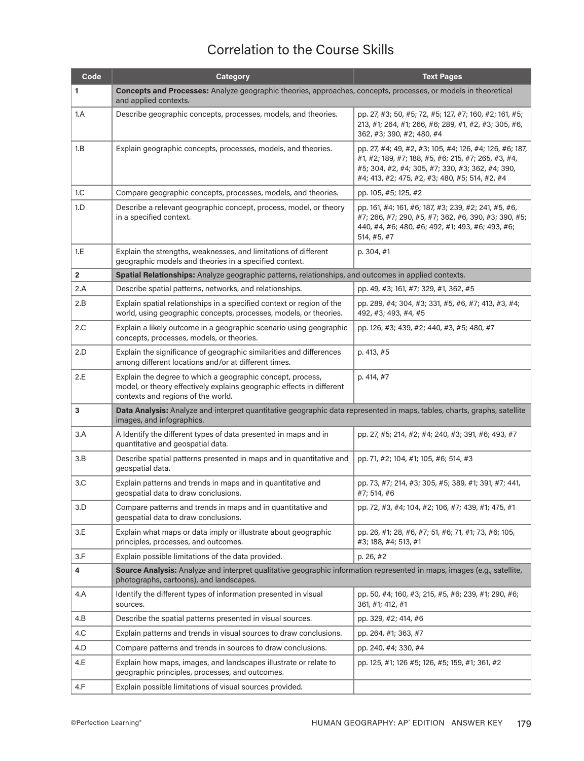## Correlation to the Course Skills

| Code         | <b>Category</b>                                                                                                                                                           | <b>Text Pages</b>                                                                                                                                                                                                    |  |  |
|--------------|---------------------------------------------------------------------------------------------------------------------------------------------------------------------------|----------------------------------------------------------------------------------------------------------------------------------------------------------------------------------------------------------------------|--|--|
| 1            | Concepts and Processes: Analyze geographic theories, approaches, concepts, processes, or models in theoretical<br>and applied contexts.                                   |                                                                                                                                                                                                                      |  |  |
| 1.A          | Describe geographic concepts, processes, models, and theories.                                                                                                            | pp. 27, #3; 50, #5; 72, #5; 127, #7; 160, #2; 161, #5;<br>213, #1; 264, #1; 266, #6; 289, #1, #2, #3; 305, #6,<br>362, #3; 390, #2; 480, #4                                                                          |  |  |
| 1.B          | Explain geographic concepts, processes, models, and theories.                                                                                                             | pp. 27, #4; 49, #2, #3; 105, #4; 126, #4; 126, #6; 187,<br>#1, #2; 189, #7; 188, #5, #6; 215, #7; 265, #3, #4,<br>#5; 304, #2, #4; 305, #7; 330, #3; 362, #4; 390,<br>#4; 413, #2; 475, #2, #3; 480, #5; 514, #2, #4 |  |  |
| 1.C          | Compare geographic concepts, processes, models, and theories.                                                                                                             | pp. 105, #5; 125, #2                                                                                                                                                                                                 |  |  |
| 1.D          | Describe a relevant geographic concept, process, model, or theory<br>in a specified context.                                                                              | pp. 161, #4; 161, #6; 187, #3; 239, #2; 241, #5, #6,<br>#7; 266, #7; 290, #5, #7; 362, #6, 390, #3; 390, #5;<br>440, #4, #6; 480, #6; 492, #1; 493, #6; 493, #6;<br>514, #5, #7                                      |  |  |
| 1.E          | Explain the strengths, weaknesses, and limitations of different<br>geographic models and theories in a specified context.                                                 | p. 304, #1                                                                                                                                                                                                           |  |  |
| $\mathbf{2}$ | Spatial Relationships: Analyze geographic patterns, relationships, and outcomes in applied contexts.                                                                      |                                                                                                                                                                                                                      |  |  |
| 2.A          | Describe spatial patterns, networks, and relationships.                                                                                                                   | pp. 49, #3; 161, #7; 329, #1, 362, #5                                                                                                                                                                                |  |  |
| 2.B          | Explain spatial relationships in a specified context or region of the<br>world, using geographic concepts, processes, models, or theories.                                | pp. 289, #4; 304, #3; 331, #5, #6, #7; 413, #3, #4;<br>492, #3; 493, #4, #5                                                                                                                                          |  |  |
| 2.C          | Explain a likely outcome in a geographic scenario using geographic<br>concepts, processes, models, or theories.                                                           | pp. 126, #3; 439, #2; 440, #3, #5; 480, #7                                                                                                                                                                           |  |  |
| 2.D          | Explain the significance of geographic similarities and differences<br>among different locations and/or at different times.                                               | p. 413, #5                                                                                                                                                                                                           |  |  |
| 2.E          | Explain the degree to which a geographic concept, process,<br>model, or theory effectively explains geographic effects in different<br>contexts and regions of the world. | p. 414, #7                                                                                                                                                                                                           |  |  |
| 3            | Data Analysis: Analyze and interpret quantitative geographic data represented in maps, tables, charts, graphs, satellite<br>images, and infographics.                     |                                                                                                                                                                                                                      |  |  |
| 3.A          | A Identify the different types of data presented in maps and in<br>quantitative and geospatial data.                                                                      | pp. 27, #5; 214, #2; #4; 240, #3; 391, #6; 493, #7                                                                                                                                                                   |  |  |
| 3.B          | Describe spatial patterns presented in maps and in quantitative and<br>geospatial data.                                                                                   | pp. 71, #2; 104, #1; 105, #6; 514, #3                                                                                                                                                                                |  |  |
| 3.C          | Explain patterns and trends in maps and in quantitative and<br>geospatial data to draw conclusions.                                                                       | pp. 73, #7; 214, #3; 305, #5; 389, #1; 391, #7; 441,<br>#7; 514, #6                                                                                                                                                  |  |  |
| 3.D          | Compare patterns and trends in maps and in quantitative and<br>geospatial data to draw conclusions.                                                                       | pp. 72, #3, #4; 104, #2; 106, #7; 439, #1; 475, #1                                                                                                                                                                   |  |  |
| 3.E          | Explain what maps or data imply or illustrate about geographic<br>principles, processes, and outcomes.                                                                    | pp. 26, #1; 28, #6, #7; 51, #6; 71, #1; 73, #6; 105,<br>#3; 188, #4; 513, #1                                                                                                                                         |  |  |
| 3.F          | Explain possible limitations of the data provided.                                                                                                                        | p. 26, #2                                                                                                                                                                                                            |  |  |
| 4            | Source Analysis: Analyze and interpret qualitative geographic information represented in maps, images (e.g., satellite,<br>photographs, cartoons), and landscapes.        |                                                                                                                                                                                                                      |  |  |
| 4.A          | Identify the different types of information presented in visual<br>sources.                                                                                               | pp. 50, #4; 160, #3; 215, #5, #6; 239, #1; 290, #6;<br>361, #1; 412, #1                                                                                                                                              |  |  |
| 4.B          | Describe the spatial patterns presented in visual sources.                                                                                                                | pp. 329, #2; 414, #6                                                                                                                                                                                                 |  |  |
| 4.C          | Explain patterns and trends in visual sources to draw conclusions.                                                                                                        | pp. 264, #1; 363, #7                                                                                                                                                                                                 |  |  |
| 4.D          | Compare patterns and trends in sources to draw conclusions.                                                                                                               | pp. 240, #4; 330, #4                                                                                                                                                                                                 |  |  |
| 4.E          | Explain how maps, images, and landscapes illustrate or relate to<br>geographic principles, processes, and outcomes.                                                       | pp. 125, #1; 126 #5; 126, #5; 159, #1; 361, #2                                                                                                                                                                       |  |  |
| 4.F          | Explain possible limitations of visual sources provided.                                                                                                                  |                                                                                                                                                                                                                      |  |  |